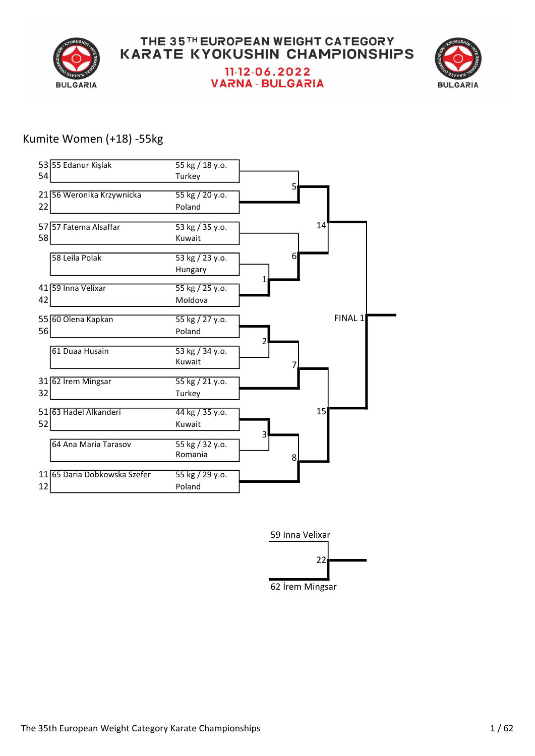



#### Kumite Women (+18) -55kg



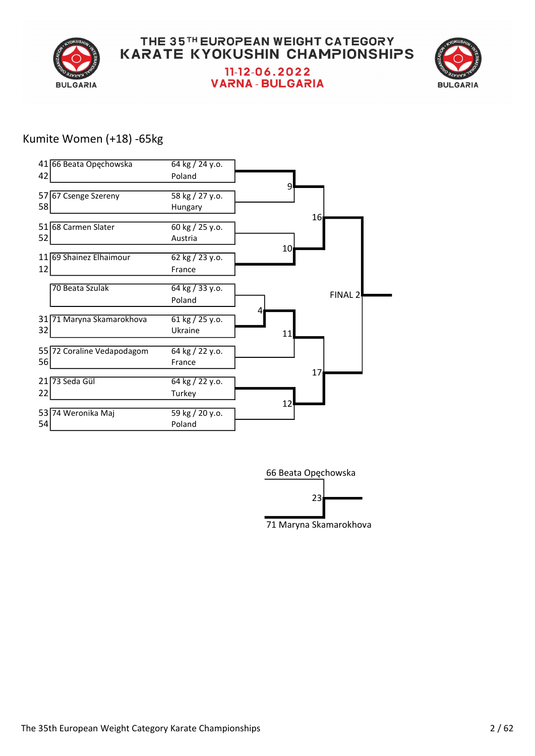



#### Kumite Women (+18) -65kg



66 Beata Opęchowska 

71 Maryna Skamarokhova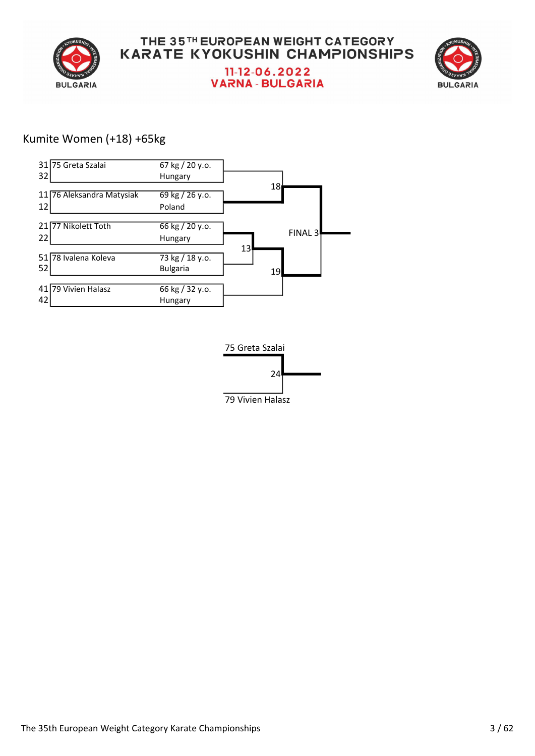



#### Kumite Women (+18) +65kg



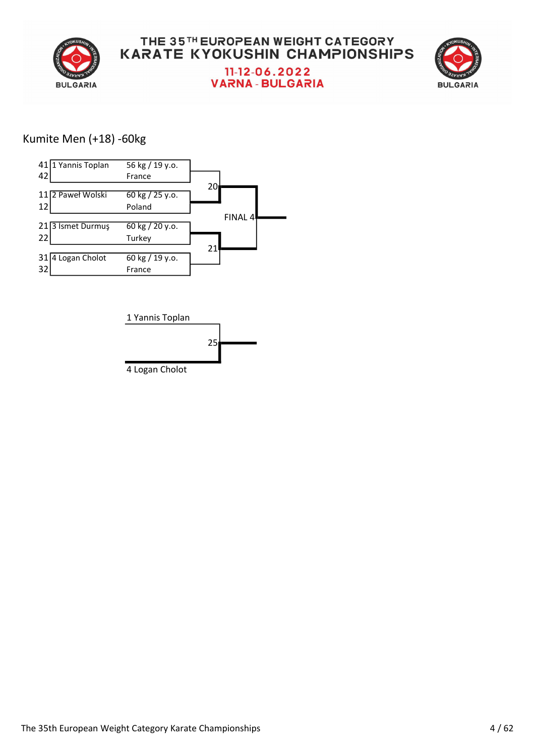

#### THE 35TH EUROPEAN WEIGHT CATEGORY **KARATE KYOKUSHIN CHAMPIONSHIPS** 11-12-06.2022

**VARNA - BULGARIA** 



#### Kumite Men (+18) -60kg



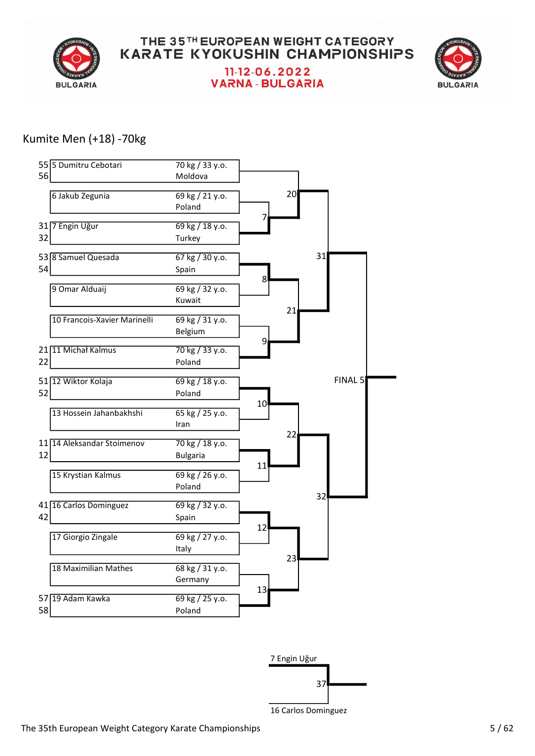



#### Kumite Men (+18) -70kg





16 Carlos Dominguez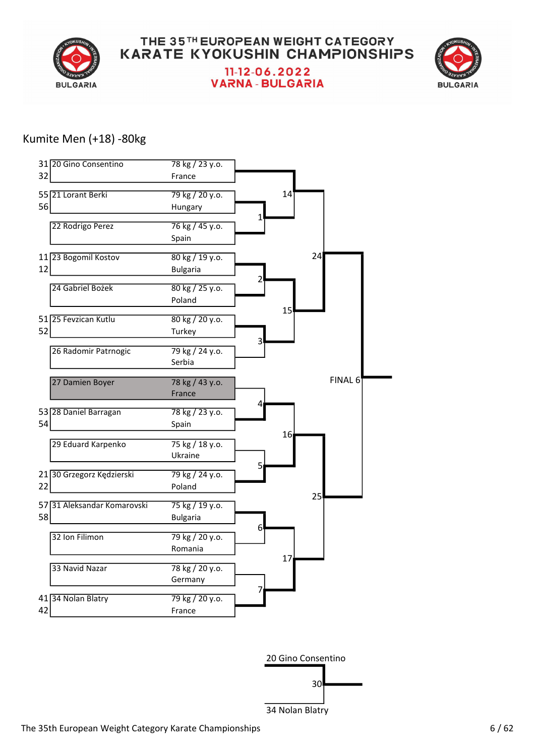

**VARNA - BULGARIA** 



#### Kumite Men (+18) -80kg



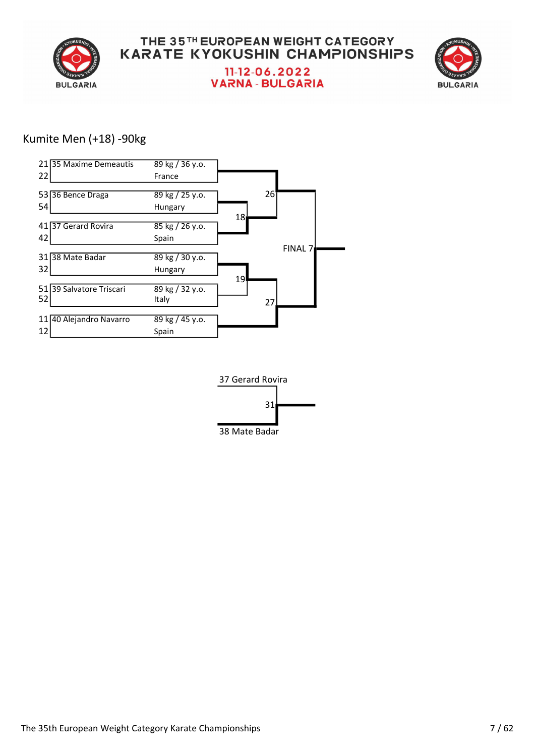

#### THE 35TH EUROPEAN WEIGHT CATEGORY **KARATE KYOKUSHIN CHAMPIONSHIPS** 11-12-06.2022 **VARNA - BULGARIA**



#### Kumite Men (+18) -90kg



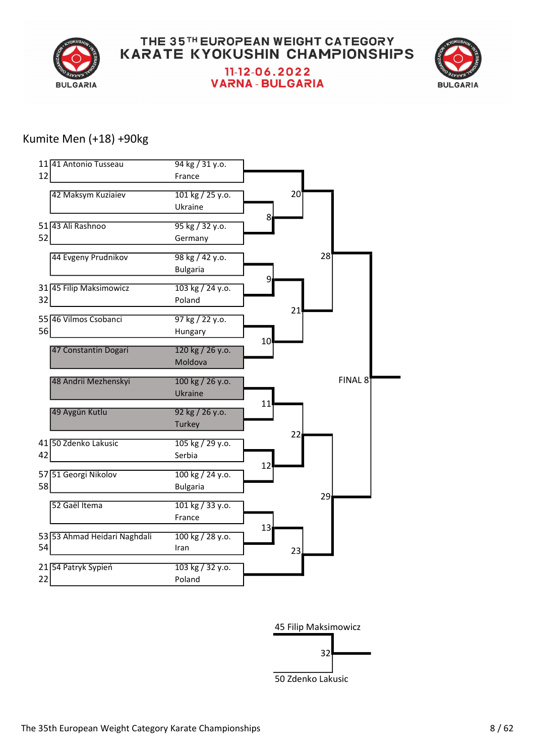



#### Kumite Men (+18) +90kg



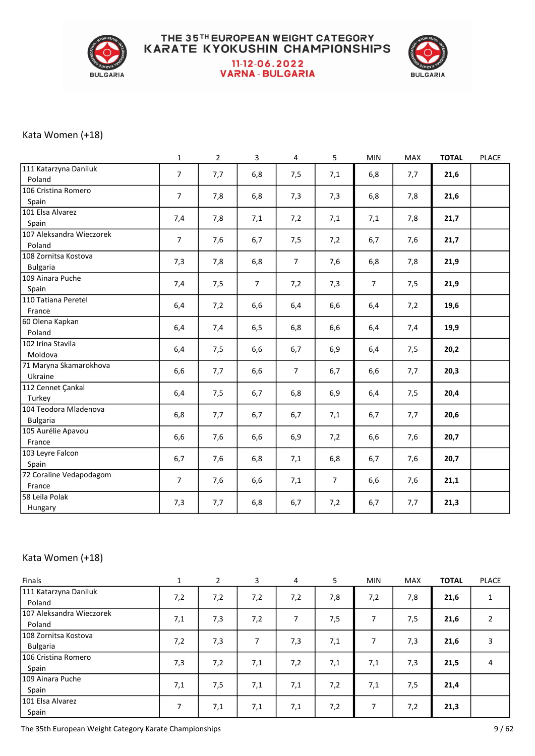

#### THE 35TH EUROPEAN WEIGHT CATEGORY **KARATE KYOKUSHIN CHAMPIONSHIPS** 11-12-06.2022 **VARNA - BULGARIA**



#### Kata Women (+18)

|                                          | $\mathbf{1}$   | $\overline{2}$ | $\overline{3}$ | $\overline{4}$ | 5   | MIN            | MAX | <b>TOTAL</b> | <b>PLACE</b> |
|------------------------------------------|----------------|----------------|----------------|----------------|-----|----------------|-----|--------------|--------------|
| 111 Katarzyna Daniluk<br>Poland          | $\overline{7}$ | 7,7            | 6,8            | 7,5            | 7,1 | 6,8            | 7,7 | 21,6         |              |
| 106 Cristina Romero<br>Spain             | $\overline{7}$ | 7,8            | 6,8            | 7,3            | 7,3 | 6,8            | 7,8 | 21,6         |              |
| 101 Elsa Alvarez<br>Spain                | 7,4            | 7,8            | 7,1            | 7,2            | 7,1 | 7,1            | 7,8 | 21,7         |              |
| 107 Aleksandra Wieczorek<br>Poland       | $\overline{7}$ | 7,6            | 6,7            | 7,5            | 7,2 | 6,7            | 7,6 | 21,7         |              |
| 108 Zornitsa Kostova<br><b>Bulgaria</b>  | 7,3            | 7,8            | 6,8            | $\overline{7}$ | 7,6 | 6,8            | 7,8 | 21,9         |              |
| 109 Ainara Puche<br>Spain                | 7,4            | 7,5            | $\overline{7}$ | 7,2            | 7,3 | $\overline{7}$ | 7,5 | 21,9         |              |
| 110 Tatiana Peretel<br>France            | 6,4            | 7,2            | 6,6            | 6,4            | 6,6 | 6,4            | 7,2 | 19,6         |              |
| 60 Olena Kapkan<br>Poland                | 6,4            | 7,4            | 6,5            | 6,8            | 6,6 | 6,4            | 7,4 | 19,9         |              |
| 102 Irina Stavila<br>Moldova             | 6,4            | 7,5            | 6,6            | 6,7            | 6,9 | 6,4            | 7,5 | 20,2         |              |
| 71 Maryna Skamarokhova<br>Ukraine        | 6,6            | 7,7            | 6,6            | $\overline{7}$ | 6,7 | 6,6            | 7,7 | 20,3         |              |
| 112 Cennet Çankal<br>Turkey              | 6,4            | 7,5            | 6,7            | 6,8            | 6,9 | 6,4            | 7,5 | 20,4         |              |
| 104 Teodora Mladenova<br><b>Bulgaria</b> | 6,8            | 7,7            | 6,7            | 6,7            | 7,1 | 6,7            | 7,7 | 20,6         |              |
| 105 Aurélie Apavou<br>France             | 6,6            | 7,6            | 6,6            | 6,9            | 7,2 | 6,6            | 7,6 | 20,7         |              |
| 103 Leyre Falcon<br>Spain                | 6,7            | 7,6            | 6,8            | 7,1            | 6,8 | 6,7            | 7,6 | 20,7         |              |
| 72 Coraline Vedapodagom<br>France        | $\overline{7}$ | 7,6            | 6,6            | 7,1            | 7   | 6,6            | 7,6 | 21,1         |              |
| 58 Leila Polak<br>Hungary                | 7,3            | 7,7            | 6,8            | 6,7            | 7,2 | 6,7            | 7,7 | 21,3         |              |

#### Kata Women (+18)

| Finals                                    | $\mathbf{1}$ | $\overline{2}$ | 3   | 4   | 5   | <b>MIN</b> | <b>MAX</b> | <b>TOTAL</b> | <b>PLACE</b> |
|-------------------------------------------|--------------|----------------|-----|-----|-----|------------|------------|--------------|--------------|
| 111 Katarzyna Daniluk<br>Poland           | 7,2          | 7,2            | 7,2 | 7,2 | 7,8 | 7,2        | 7,8        | 21,6         |              |
| 107 Aleksandra Wieczorek<br>Poland        | 7,1          | 7,3            | 7,2 | 7   | 7,5 | 7          | 7,5        | 21,6         | 2            |
| l 108 Zornitsa Kostova<br><b>Bulgaria</b> | 7,2          | 7,3            | 7   | 7,3 | 7,1 | 7          | 7,3        | 21,6         | 3            |
| l 106 Cristina Romero<br>Spain            | 7,3          | 7,2            | 7,1 | 7,2 | 7,1 | 7,1        | 7,3        | 21,5         | 4            |
| 109 Ainara Puche<br>Spain                 | 7,1          | 7,5            | 7,1 | 7,1 | 7,2 | 7,1        | 7,5        | 21,4         |              |
| 101 Elsa Alvarez<br>Spain                 | 7            | 7,1            | 7,1 | 7,1 | 7,2 | 7          | 7,2        | 21,3         |              |

The 35th European Weight Category Karate Championships 9/62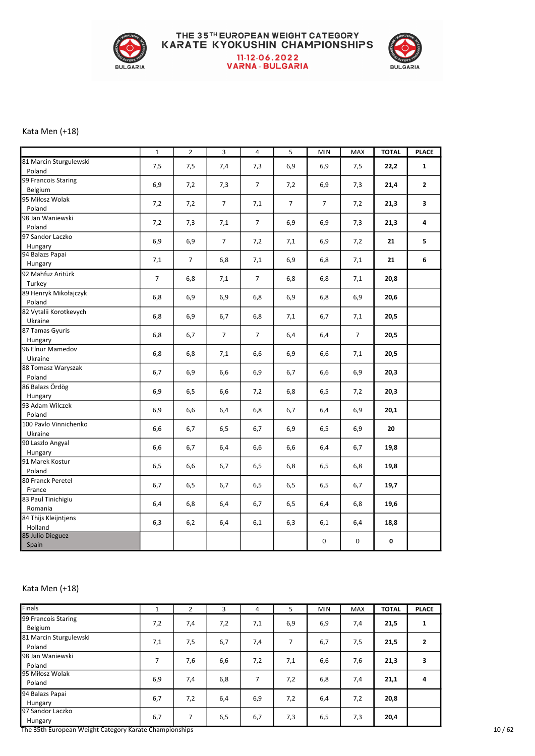

# THE 35TH EUROPEAN WEIGHT CATEGORY<br>KARATE KYOKUSHIN CHAMPIONSHIPS 11-12-06.2022<br>VARNA - BULGARIA



#### Kata Men (+18)

|                                   | $\mathbf 1$    | $\overline{2}$ | 3              | $\pmb{4}$      | $\mathsf S$    | <b>MIN</b> | <b>MAX</b>     | <b>TOTAL</b> | <b>PLACE</b> |
|-----------------------------------|----------------|----------------|----------------|----------------|----------------|------------|----------------|--------------|--------------|
| 81 Marcin Sturgulewski<br>Poland  | 7,5            | 7,5            | 7,4            | 7,3            | 6,9            | 6,9        | 7,5            | 22,2         | $\mathbf{1}$ |
| 99 Francois Staring<br>Belgium    | 6,9            | 7,2            | 7,3            | 7              | 7,2            | 6,9        | 7,3            | 21,4         | $\mathbf{2}$ |
| 95 Miłosz Wolak<br>Poland         | 7,2            | 7,2            | $\overline{7}$ | 7,1            | $\overline{7}$ | 7          | 7,2            | 21,3         | 3            |
| 98 Jan Waniewski<br>Poland        | 7,2            | 7,3            | 7,1            | $\overline{7}$ | 6,9            | 6,9        | 7,3            | 21,3         | 4            |
| 97 Sandor Laczko<br>Hungary       | 6,9            | 6,9            | $\overline{7}$ | 7,2            | 7,1            | 6,9        | 7,2            | 21           | 5            |
| 94 Balazs Papai<br>Hungary        | 7,1            | 7              | 6,8            | 7,1            | 6,9            | 6,8        | 7,1            | 21           | 6            |
| 92 Mahfuz Aritürk<br>Turkey       | $\overline{7}$ | 6,8            | 7,1            | $\overline{7}$ | 6,8            | 6,8        | 7,1            | 20,8         |              |
| 89 Henryk Mikołajczyk<br>Poland   | 6,8            | 6,9            | 6,9            | 6,8            | 6,9            | 6,8        | 6,9            | 20,6         |              |
| 82 Vytalii Korotkevych<br>Ukraine | 6,8            | 6,9            | 6,7            | 6,8            | 7,1            | 6,7        | 7,1            | 20,5         |              |
| 87 Tamas Gyuris<br>Hungary        | 6,8            | 6,7            | $\overline{7}$ | $\overline{7}$ | 6,4            | 6,4        | $\overline{7}$ | 20,5         |              |
| 96 Elnur Mamedov<br>Ukraine       | 6,8            | 6,8            | 7,1            | 6,6            | 6,9            | 6,6        | 7,1            | 20,5         |              |
| 88 Tomasz Waryszak<br>Poland      | 6,7            | 6,9            | 6,6            | 6,9            | 6,7            | 6,6        | 6,9            | 20,3         |              |
| 86 Balazs Ördög<br>Hungary        | 6,9            | 6,5            | 6,6            | 7,2            | 6,8            | 6, 5       | 7,2            | 20,3         |              |
| 93 Adam Wilczek<br>Poland         | 6,9            | 6,6            | 6,4            | 6,8            | 6,7            | 6,4        | 6,9            | 20,1         |              |
| 100 Pavlo Vinnichenko<br>Ukraine  | 6,6            | 6,7            | 6,5            | 6,7            | 6,9            | 6,5        | 6,9            | 20           |              |
| 90 Laszlo Angyal<br>Hungary       | 6,6            | 6,7            | 6,4            | 6,6            | 6,6            | 6,4        | 6,7            | 19,8         |              |
| 91 Marek Kostur<br>Poland         | 6,5            | 6,6            | 6,7            | 6,5            | 6,8            | 6,5        | 6,8            | 19,8         |              |
| 80 Franck Peretel<br>France       | 6,7            | 6,5            | 6,7            | 6,5            | 6,5            | 6,5        | 6,7            | 19,7         |              |
| 83 Paul Tinichigiu<br>Romania     | 6,4            | 6,8            | 6,4            | 6,7            | 6,5            | 6,4        | 6,8            | 19,6         |              |
| 84 Thijs Kleijntjens<br>Holland   | 6,3            | 6,2            | 6,4            | 6,1            | 6,3            | 6,1        | 6,4            | 18,8         |              |
| 85 Julio Dieguez<br>Spain         |                |                |                |                |                | 0          | 0              | 0            |              |

#### Kata Men (+18)

| Finals                                                 |     | 2   | 3   | 4   | 5   | <b>MIN</b> | <b>MAX</b> | <b>TOTAL</b> | <b>PLACE</b> |
|--------------------------------------------------------|-----|-----|-----|-----|-----|------------|------------|--------------|--------------|
| 99 Francois Staring                                    | 7,2 | 7,4 | 7,2 | 7,1 | 6,9 | 6,9        | 7,4        | 21,5         | $\mathbf{1}$ |
| Belgium                                                |     |     |     |     |     |            |            |              |              |
| 81 Marcin Sturgulewski                                 | 7,1 | 7,5 | 6,7 | 7,4 |     | 6,7        | 7,5        | 21,5         | 2            |
| Poland                                                 |     |     |     |     |     |            |            |              |              |
| 98 Jan Waniewski                                       |     |     |     |     |     |            |            |              |              |
| Poland                                                 | 7   | 7,6 | 6,6 | 7,2 | 7,1 | 6,6        | 7,6        | 21,3         | 3            |
| 95 Miłosz Wolak                                        |     |     |     |     |     |            |            |              |              |
| Poland                                                 | 6,9 | 7,4 | 6,8 | 7   | 7,2 | 6,8        | 7,4        | 21,1         | 4            |
| 94 Balazs Papai                                        |     |     |     |     |     |            |            |              |              |
| Hungary                                                | 6,7 | 7,2 | 6,4 | 6,9 | 7,2 | 6,4        | 7,2        | 20,8         |              |
| 97 Sandor Laczko                                       |     |     |     |     |     |            |            |              |              |
| Hungary                                                | 6,7 | 7   | 6,5 | 6,7 | 7,3 | 6,5        | 7,3        | 20,4         |              |
| The 35th European Weight Category Karate Championships |     |     |     |     |     |            |            |              |              |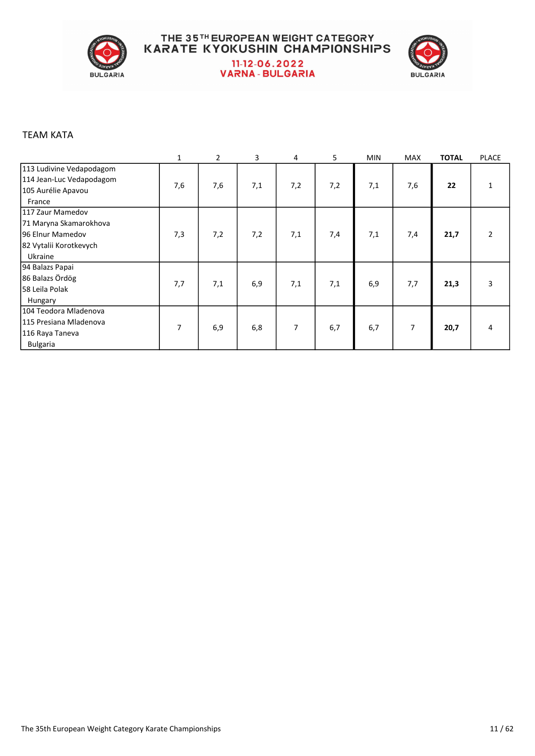

#### THE 35TH EUROPEAN WEIGHT CATEGORY **KARATE KYOKUSHIN CHAMPIONSHIPS** 11-12-06.2022 **VARNA - BULGARIA**



#### TEAM KATA

|                                                                                      | $\mathbf{1}$ | $\overline{2}$ | 3   | 4   | 5   | <b>MIN</b> | <b>MAX</b> | <b>TOTAL</b> | <b>PLACE</b>   |
|--------------------------------------------------------------------------------------|--------------|----------------|-----|-----|-----|------------|------------|--------------|----------------|
| 113 Ludivine Vedapodagom<br>114 Jean-Luc Vedapodagom<br>105 Aurélie Apavou<br>France | 7,6          | 7,6            | 7,1 | 7,2 | 7,2 | 7,1        | 7,6        | 22           |                |
| 1117 Zaur Mamedov                                                                    |              |                |     |     |     |            |            |              |                |
| 71 Maryna Skamarokhova                                                               |              |                |     |     |     |            |            |              |                |
| 96 Elnur Mamedov                                                                     | 7,3          | 7,2            | 7,2 | 7,1 | 7,4 | 7,1        | 7,4        | 21,7         | $\overline{2}$ |
| 82 Vytalii Korotkevych                                                               |              |                |     |     |     |            |            |              |                |
| Ukraine                                                                              |              |                |     |     |     |            |            |              |                |
| 94 Balazs Papai                                                                      |              |                |     |     |     |            |            |              |                |
| 86 Balazs Ördög                                                                      |              |                |     |     |     |            |            |              |                |
| 58 Leila Polak                                                                       | 7,7          | 7,1            | 6,9 | 7,1 | 7,1 | 6,9        | 7,7        | 21,3         | 3              |
| Hungary                                                                              |              |                |     |     |     |            |            |              |                |
| 104 Teodora Mladenova                                                                |              |                |     |     |     |            |            |              |                |
| 115 Presiana Mladenova                                                               | 7            |                |     | 7   |     |            | 7          |              |                |
| 116 Raya Taneva                                                                      |              | 6,9            | 6,8 |     | 6,7 | 6,7        |            | 20,7         | 4              |
| <b>Bulgaria</b>                                                                      |              |                |     |     |     |            |            |              |                |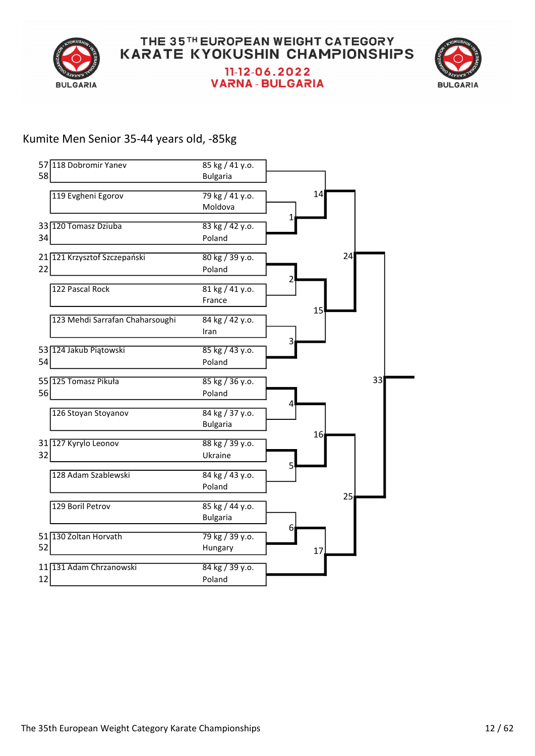



#### Kumite Men Senior 35-44 years old, -85kg

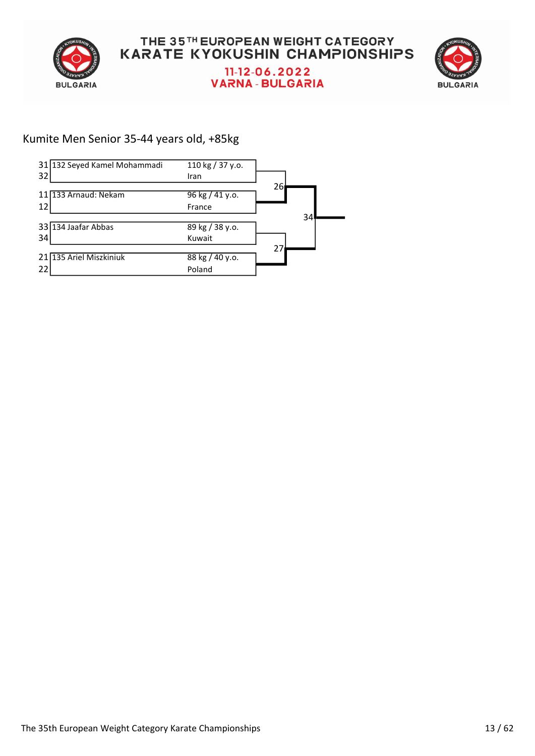



#### Kumite Men Senior 35-44 years old, +85kg

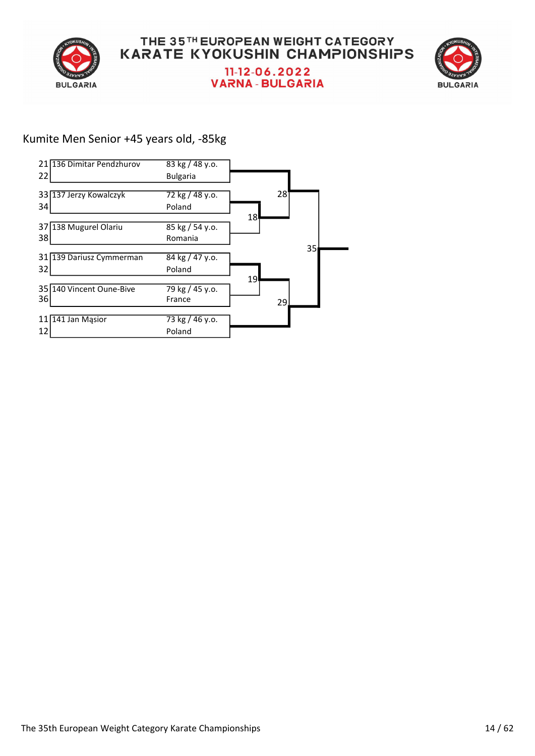



## Kumite Men Senior +45 years old, -85kg

|                 | 21 136 Dimitar Pendzhurov | $83$ kg $/$ 48 y.o. |                 |    |    |  |
|-----------------|---------------------------|---------------------|-----------------|----|----|--|
| 22              |                           | <b>Bulgaria</b>     |                 |    |    |  |
|                 |                           |                     |                 |    |    |  |
|                 | 33 137 Jerzy Kowalczyk    | 72 kg / 48 y.o.     |                 | 28 |    |  |
| 34              |                           | Poland              |                 |    |    |  |
|                 |                           |                     | 18              |    |    |  |
| 37 <sup>1</sup> | 138 Mugurel Olariu        | 85 kg / 54 y.o.     |                 |    |    |  |
| 38              |                           | Romania             |                 |    |    |  |
|                 |                           |                     |                 |    | 35 |  |
|                 | 31 139 Dariusz Cymmerman  | 84 kg / 47 y.o.     |                 |    |    |  |
| 32              |                           | Poland              |                 |    |    |  |
|                 |                           |                     | 19 <sup>1</sup> |    |    |  |
|                 | 35 140 Vincent Oune-Bive  | 79 kg / 45 y.o.     |                 |    |    |  |
| 36              |                           | France              |                 | 29 |    |  |
|                 |                           |                     |                 |    |    |  |
|                 | 11 141 Jan Masior         | 73 kg / 46 y.o.     |                 |    |    |  |
| 12              |                           | Poland              |                 |    |    |  |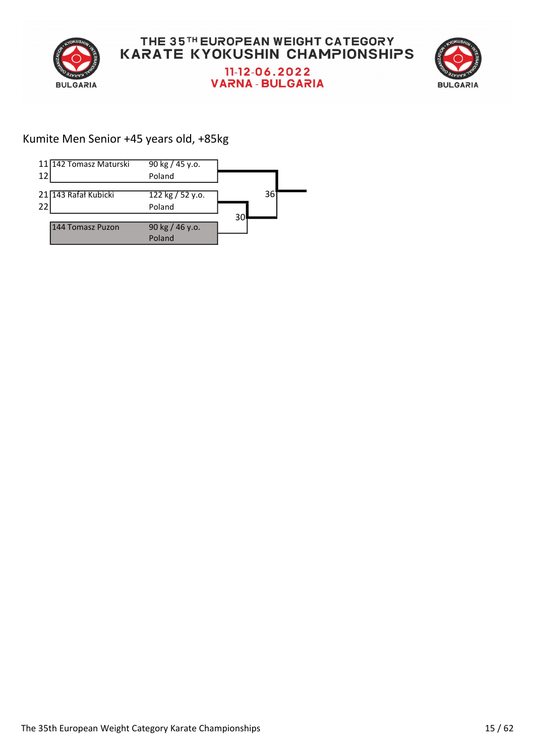



#### Kumite Men Senior +45 years old, +85kg

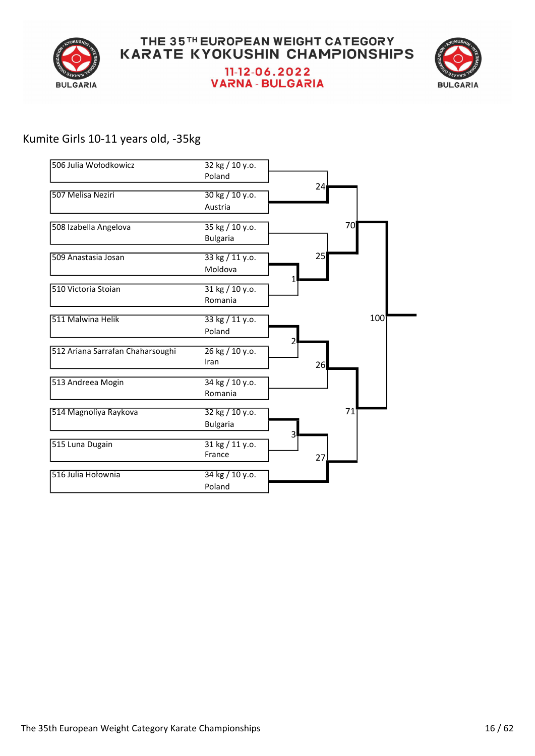



#### Kumite Girls 10-11 years old, -35kg

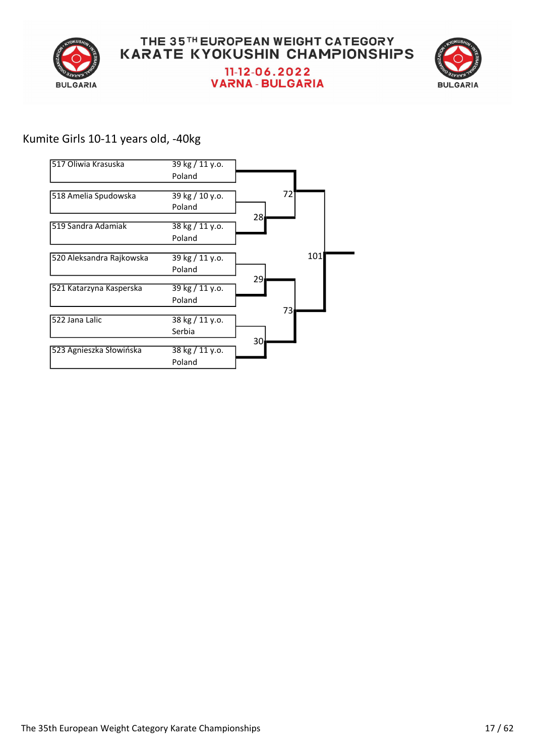



## Kumite Girls 10-11 years old, -40kg

| 517 Oliwia Krasuska      | 39 kg / 11 y.o. |     |
|--------------------------|-----------------|-----|
|                          | Poland          |     |
| 518 Amelia Spudowska     | 39 kg / 10 y.o. | 72  |
|                          | Poland          |     |
| 519 Sandra Adamiak       | 38 kg / 11 y.o. | 281 |
|                          | Poland          |     |
| 520 Aleksandra Rajkowska | 39 kg / 11 y.o. | 101 |
|                          | Poland          |     |
| 521 Katarzyna Kasperska  | 39 kg / 11 y.o. | 29  |
|                          | Poland          |     |
| 522 Jana Lalic           | 38 kg / 11 y.o. | 73  |
|                          | Serbia          |     |
| 523 Agnieszka Słowińska  | 38 kg / 11 y.o. | 30  |
|                          | Poland          |     |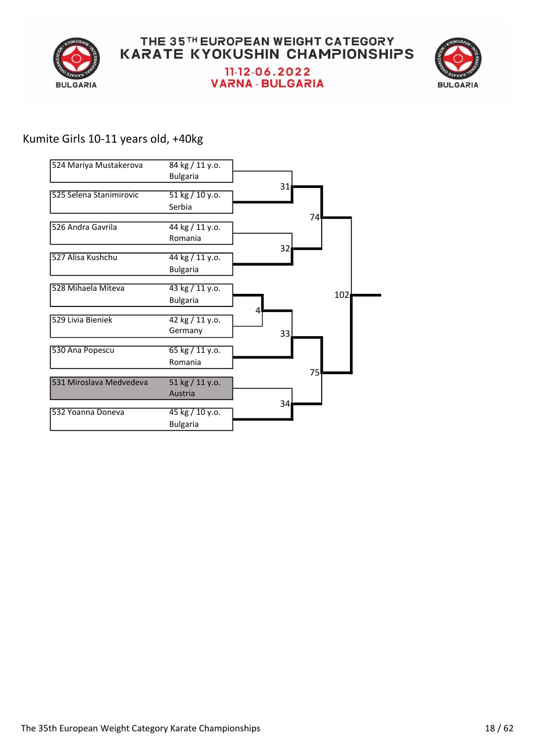



## Kumite Girls 10-11 years old, +40kg

| 524 Mariya Mustakerova  | 84 kg / 11 y.o.            |                 |     |
|-------------------------|----------------------------|-----------------|-----|
|                         | <b>Bulgaria</b>            |                 |     |
| 525 Selena Stanimirovic | 51 kg / 10 y.o.            | 31              |     |
|                         | Serbia                     |                 |     |
| 526 Andra Gavrila       | 44 kg / 11 y.o.            |                 | 74  |
|                         | Romania                    |                 |     |
| 527 Alisa Kushchu       | 44 kg / 11 y.o.            | 32 <sub>1</sub> |     |
|                         | <b>Bulgaria</b>            |                 |     |
| 528 Mihaela Miteva      | 43 kg / 11 y.o.            |                 |     |
|                         | <b>Bulgaria</b>            |                 | 102 |
| 529 Livia Bieniek       | 42 kg / 11 y.o.<br>Germany | 4<br>33.        |     |
| 530 Ana Popescu         | 65 kg / 11 y.o.            |                 |     |
|                         | Romania                    |                 |     |
| 531 Miroslava Medvedeva | 51 kg / 11 y.o.            |                 | 75  |
|                         | Austria                    |                 |     |
| 532 Yoanna Doneva       | 45 kg / 10 y.o.            | 34 <sub>l</sub> |     |
|                         | <b>Bulgaria</b>            |                 |     |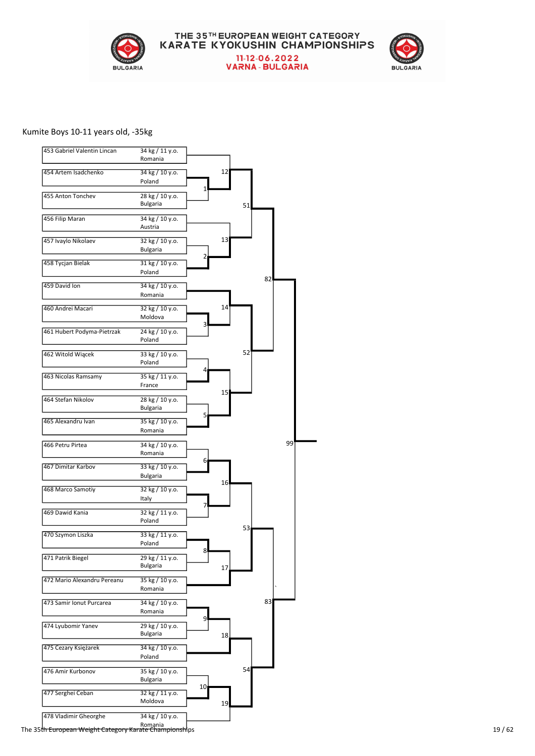

# THE 35TH EUROPEAN WEIGHT CATEGORY<br>KARATE KYOKUSHIN CHAMPIONSHIPS 11-12-06.2022<br>VARNA - BULGARIA



#### Kumite Boys 10-11 years old, -35kg

| 453 Gabriel Valentin Lincan | 34 kg / 11 y.o.<br>Romania         |          |
|-----------------------------|------------------------------------|----------|
| 454 Artem Isadchenko        | 34 kg / 10 y.o.<br>Poland          | 12       |
| 455 Anton Tonchev           | 28 kg / 10 y.o.<br><b>Bulgaria</b> | 1<br>51  |
| 456 Filip Maran             | 34 kg / 10 y.o.<br>Austria         |          |
| 457 Ivaylo Nikolaev         | 32 kg / 10 y.o.<br><b>Bulgaria</b> | 13       |
| 458 Tycjan Bielak           | 31 kg / 10 y.o.<br>Poland          | 2<br>82  |
| 459 David Ion               | 34 kg / 10 y.o.<br>Romania         |          |
| 460 Andrei Macari           | 32 kg / 10 y.o.<br>Moldova         | 14<br>3  |
| 461 Hubert Podyma-Pietrzak  | 24 kg / 10 y.o.<br>Poland          |          |
| 462 Witold Wiącek           | 33 kg / 10 y.o.<br>Poland          | 52       |
| 463 Nicolas Ramsamy         | 35 kg / 11 y.o.<br>France          | 15       |
| 464 Stefan Nikolov          | 28 kg / 10 y.o.<br>Bulgaria        | 5        |
| 465 Alexandru Ivan          | 35 kg / 10 y.o.<br>Romania         |          |
| 466 Petru Pirtea            | 34 kg / 10 y.o.<br>Romania         | 99<br>6  |
| 467 Dimitar Karbov          | 33 kg / 10 y.o.<br><b>Bulgaria</b> | 16       |
| 468 Marco Samotiy           | 32 kg / 10 y.o.<br>Italy           | 7        |
| 469 Dawid Kania             | 32 kg / 11 y.o.<br>Poland          | 53       |
| 470 Szymon Liszka           | 33 kg / 11 y.o.<br>Poland          |          |
| 471 Patrik Biegel           | 29 kg / 11 y.o.<br><b>Bulgaria</b> | 8<br>17  |
| 472 Mario Alexandru Pereanu | 35 kg / 10 y.o.<br>Romania         |          |
| 473 Samir Ionut Purcarea    | 34 kg / 10 y.o.<br>Romania         | 83<br>9  |
| 474 Lyubomir Yanev          | 29 kg / 10 y.o.<br><b>Bulgaria</b> | 18       |
| 475 Cezary Księżarek        | 34 kg / 10 y.o.<br>Poland          |          |
| 476 Amir Kurbonov           | 35 kg / 10 y.o.<br><b>Bulgaria</b> | 54       |
| 477 Serghei Ceban           | 32 kg / 11 y.o.<br>Moldova         | 10<br>19 |
| 478 Vladimir Gheorghe       | 34 kg / 10 y.o.<br>Romania         |          |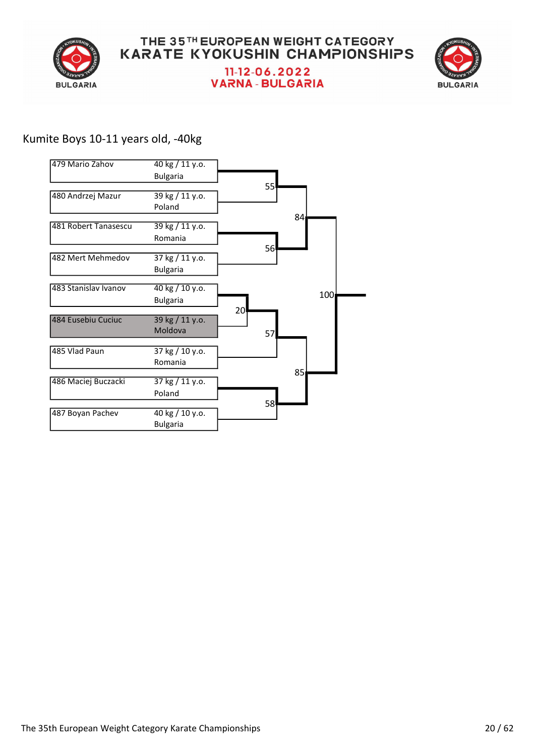



## Kumite Boys 10-11 years old, -40kg

| 479 Mario Zahov      | 40 kg / 11 y.o.<br><b>Bulgaria</b> |                 |     |
|----------------------|------------------------------------|-----------------|-----|
| 480 Andrzej Mazur    | 39 kg / 11 y.o.<br>Poland          | 55              |     |
| 481 Robert Tanasescu | 39 kg / 11 y.o.<br>Romania         | 84              |     |
| 482 Mert Mehmedov    | 37 kg / 11 y.o.<br><b>Bulgaria</b> | 56 <sup>I</sup> |     |
| 483 Stanislav Ivanov | 40 kg / 10 y.o.<br><b>Bulgaria</b> |                 | 100 |
| 484 Eusebiu Cuciuc   | 39 kg / 11 y.o.<br>Moldova         | 20<br>57        |     |
| 485 Vlad Paun        | 37 kg / 10 y.o.<br>Romania         |                 |     |
| 486 Maciej Buczacki  | 37 kg / 11 y.o.<br>Poland          | 85              |     |
| 487 Boyan Pachev     | 40 kg / 10 y.o.<br><b>Bulgaria</b> | 58              |     |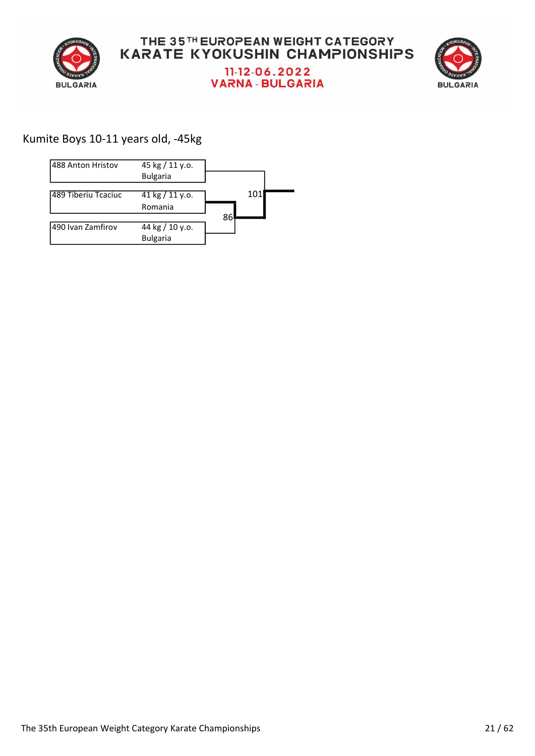



## Kumite Boys 10-11 years old, -45kg

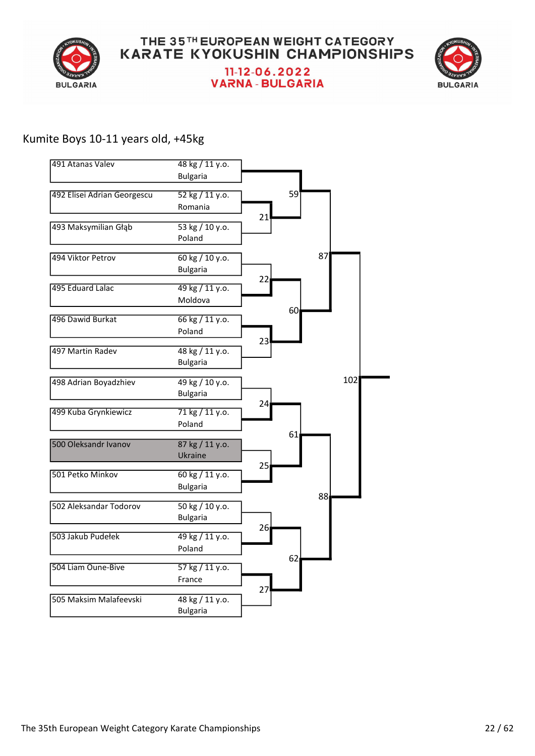



#### Kumite Boys 10-11 years old, +45kg

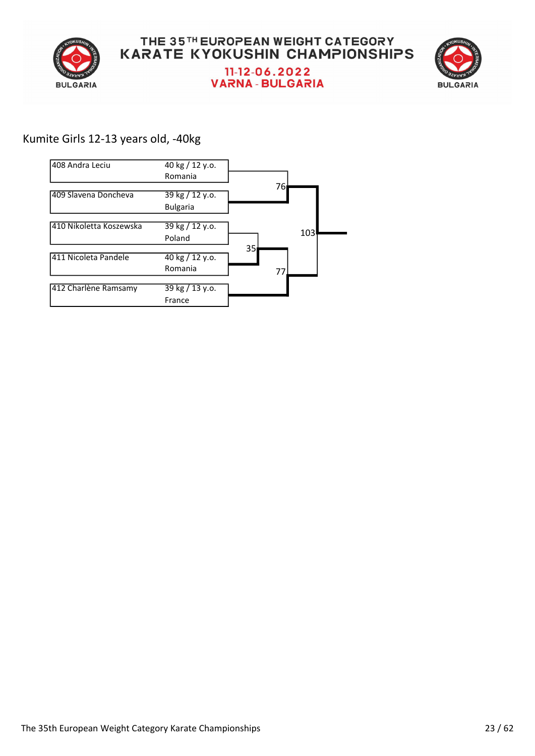



## Kumite Girls 12-13 years old, -40kg

| l408 Andra Leciu        | 40 kg / 12 y.o.<br>Romania         |          |
|-------------------------|------------------------------------|----------|
| 409 Slavena Doncheva    | 39 kg / 12 y.o.<br><b>Bulgaria</b> | 76ı      |
| 410 Nikoletta Koszewska | 39 kg / 12 y.o.<br>Poland          | 103      |
| 411 Nicoleta Pandele    | 40 kg / 12 y.o.<br>Romania         | 35<br>77 |
| 412 Charlène Ramsamy    | 39 kg / 13 y.o.<br>France          |          |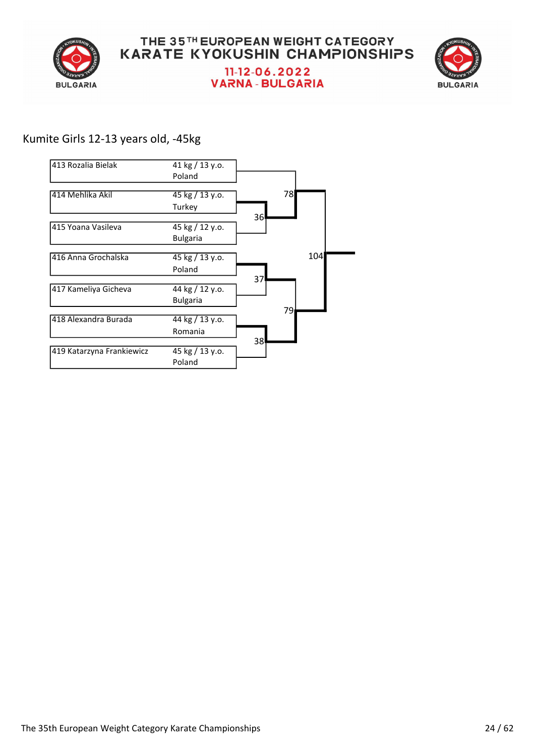



## Kumite Girls 12-13 years old, -45kg

| 1413 Rozalia Bielak       | 41 kg / 13 y.o.                   |     |
|---------------------------|-----------------------------------|-----|
|                           | Poland                            |     |
| 414 Mehlika Akil          | $45 \text{ kg} / 13 \text{ y.0}.$ | 78  |
|                           | Turkey                            |     |
| 415 Yoana Vasileva        | 45 kg / 12 y.o.                   | 36  |
|                           | <b>Bulgaria</b>                   |     |
| 416 Anna Grochalska       | 45 kg / 13 y.o.                   | 104 |
|                           | Poland                            |     |
| 417 Kameliya Gicheva      | 44 kg / 12 y.o.                   | 37  |
|                           | <b>Bulgaria</b>                   | 79  |
| 418 Alexandra Burada      | 44 kg / 13 y.o.                   |     |
|                           | Romania                           |     |
| 419 Katarzyna Frankiewicz | 45 kg / 13 y.o.<br>Poland         | 38  |
|                           |                                   |     |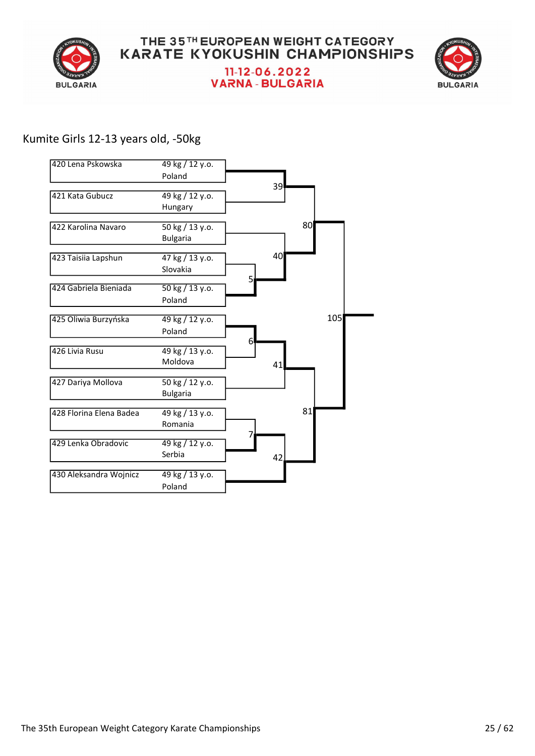



## Kumite Girls 12-13 years old, -50kg

| 420 Lena Pskowska       | 49 kg / 12 y.o.                    |     |
|-------------------------|------------------------------------|-----|
|                         | Poland                             |     |
| 421 Kata Gubucz         | 49 kg / 12 y.o.                    | 39  |
|                         | Hungary                            |     |
| 422 Karolina Navaro     | 50 kg / 13 y.o.                    | 80  |
|                         | <b>Bulgaria</b>                    |     |
| 423 Taisiia Lapshun     | 47 kg / 13 y.o.                    | 40  |
|                         | Slovakia                           |     |
| 424 Gabriela Bieniada   | 50 kg / 13 y.o.                    | 5   |
|                         | Poland                             |     |
| 425 Oliwia Burzyńska    | 49 kg / 12 y.o.                    | 105 |
|                         | Poland                             |     |
| 426 Livia Rusu          | 49 kg / 13 y.o.                    | 6   |
|                         | Moldova                            | 41  |
| 427 Dariya Mollova      | 50 kg / 12 y.o.<br><b>Bulgaria</b> |     |
| 428 Florina Elena Badea | 49 kg / 13 y.o.                    | 81  |
|                         | Romania                            |     |
| 429 Lenka Obradovic     | 49 kg / 12 y.o.                    |     |
|                         | Serbia                             | 42  |
|                         |                                    |     |
| 430 Aleksandra Wojnicz  | 49 kg / 13 y.o.                    |     |
|                         | Poland                             |     |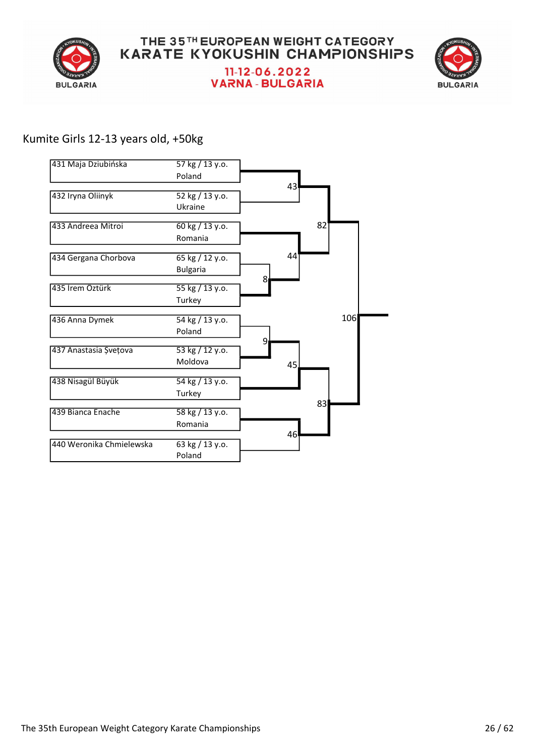



## Kumite Girls 12-13 years old, +50kg

| 431 Maja Dziubińska      | 57 kg / 13 y.o.                    |   |    |     |  |
|--------------------------|------------------------------------|---|----|-----|--|
|                          | Poland                             |   |    |     |  |
| 432 Iryna Oliinyk        | 52 kg / 13 y.o.<br>Ukraine         |   | 43 |     |  |
| 433 Andreea Mitroi       | 60 kg / 13 y.o.<br>Romania         |   |    | 82  |  |
| 434 Gergana Chorbova     | 65 kg / 12 y.o.<br><b>Bulgaria</b> |   | 44 |     |  |
| 435 İrem Öztürk          | 55 kg / 13 y.o.<br>Turkey          | 8 |    |     |  |
| 436 Anna Dymek           | 54 kg / 13 y.o.<br>Poland          |   |    | 106 |  |
| 437 Anastasia Șvețova    | 53 kg / 12 y.o.<br>Moldova         | 9 | 45 |     |  |
| 438 Nisagül Büyük        | 54 kg / 13 y.o.<br>Turkey          |   |    |     |  |
| 439 Bianca Enache        | 58 kg / 13 y.o.<br>Romania         |   |    | 83  |  |
| 440 Weronika Chmielewska | 63 kg / 13 y.o.<br>Poland          |   | 46 |     |  |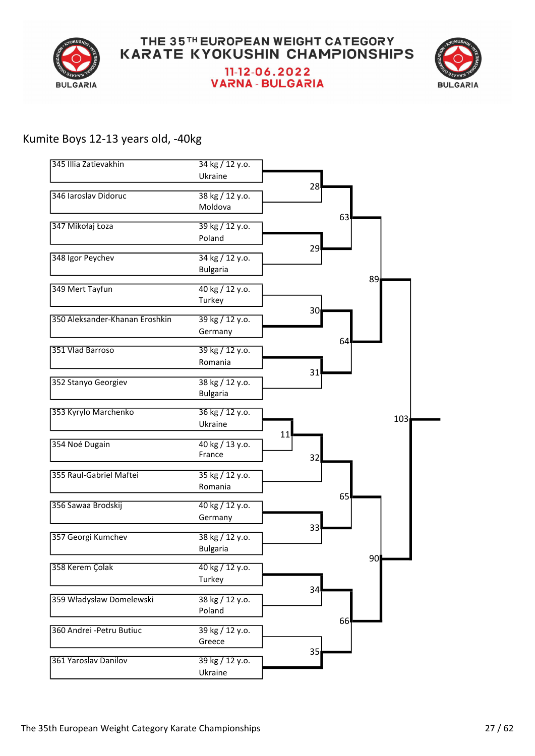



#### Kumite Boys 12-13 years old, -40kg

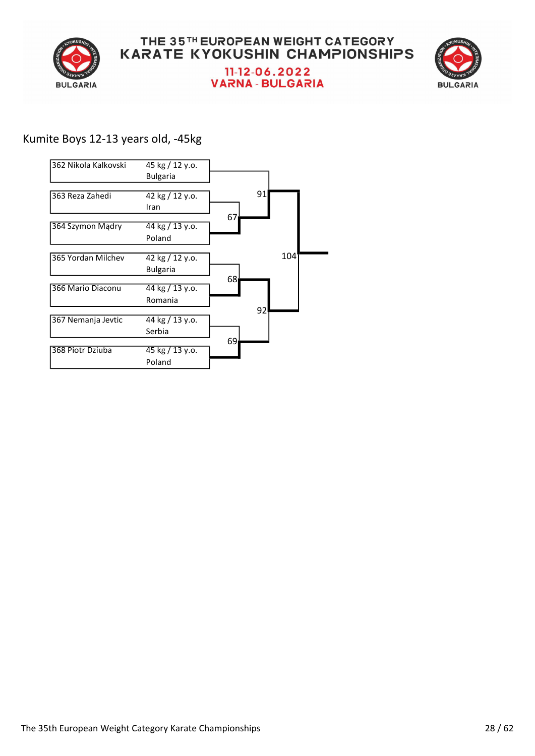



## Kumite Boys 12-13 years old, -45kg

| 362 Nikola Kalkovski | 45 kg / 12 y.o.<br><b>Bulgaria</b> |                 |
|----------------------|------------------------------------|-----------------|
| 363 Reza Zahedi      | 42 kg / 12 y.o.<br>Iran            | 91              |
| 364 Szymon Mądry     | 44 kg / 13 y.o.<br>Poland          | 67              |
| 365 Yordan Milchev   | 42 kg / 12 y.o.<br><b>Bulgaria</b> | 104             |
| 366 Mario Diaconu    | 44 kg / 13 y.o.<br>Romania         | 68              |
| 367 Nemanja Jevtic   | 44 kg / 13 y.o.<br>Serbia          | 92              |
| 368 Piotr Dziuba     | 45 kg / 13 y.o.<br>Poland          | 69 <sub>l</sub> |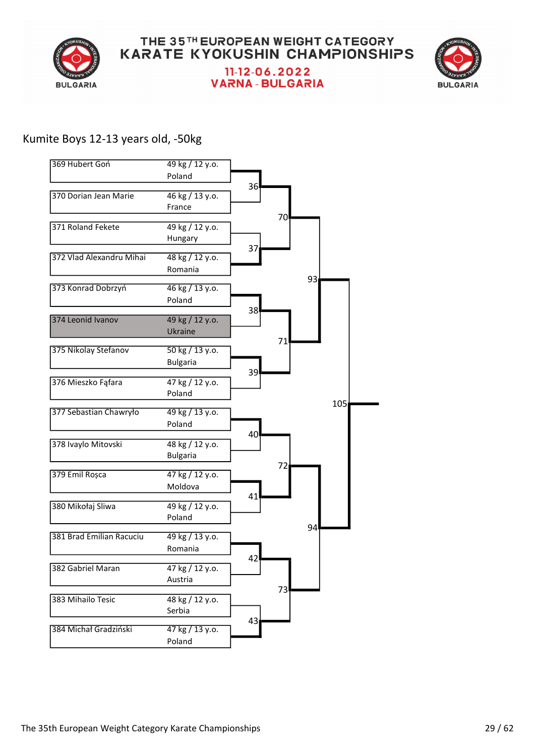



## Kumite Boys 12-13 years old, -50kg

| 369 Hubert Goń           | 49 kg / 12 y.o.                          |    |    |    |     |  |
|--------------------------|------------------------------------------|----|----|----|-----|--|
|                          | Poland                                   | 36 |    |    |     |  |
| 370 Dorian Jean Marie    | 46 kg / 13 y.o.                          |    |    |    |     |  |
|                          | France                                   |    | 70 |    |     |  |
| 371 Roland Fekete        | 49 kg / 12 y.o.                          |    |    |    |     |  |
|                          | Hungary                                  | 37 |    |    |     |  |
| 372 Vlad Alexandru Mihai | 48 kg / 12 y.o.                          |    |    |    |     |  |
|                          | Romania                                  |    |    | 93 |     |  |
| 373 Konrad Dobrzyń       | 46 kg / 13 y.o.                          |    |    |    |     |  |
|                          | Poland                                   |    |    |    |     |  |
| 374 Leonid Ivanov        | 49 kg / 12 y.o.                          | 38 |    |    |     |  |
|                          | Ukraine                                  |    |    |    |     |  |
| 375 Nikolay Stefanov     | 50 kg / 13 y.o.                          |    | 71 |    |     |  |
|                          | <b>Bulgaria</b>                          |    |    |    |     |  |
| 376 Mieszko Fąfara       | 47 kg / 12 y.o.                          | 39 |    |    |     |  |
|                          | Poland                                   |    |    |    |     |  |
| 377 Sebastian Chawryło   | 49 kg / 13 y.o.                          |    |    |    | 105 |  |
|                          | Poland                                   |    |    |    |     |  |
| 378 Ivaylo Mitovski      | 48 kg / 12 y.o.                          | 40 |    |    |     |  |
|                          | <b>Bulgaria</b>                          |    |    |    |     |  |
| 379 Emil Roșca           | 47 kg / 12 y.o.                          |    | 72 |    |     |  |
|                          | Moldova                                  |    |    |    |     |  |
| 380 Mikołaj Sliwa        | $49$ kg $/$ 12 y.o.                      | 41 |    |    |     |  |
|                          | Poland                                   |    |    |    |     |  |
| 381 Brad Emilian Racuciu | 49 kg / 13 y.o.                          |    |    | 94 |     |  |
|                          | Romania                                  |    |    |    |     |  |
| 382 Gabriel Maran        | $\frac{47 \text{ kg}}{12 \text{ y.0}}$ . | 42 |    |    |     |  |
|                          | Austria                                  |    |    |    |     |  |
| 383 Mihailo Tesic        | 48 kg / 12 y.o.                          |    | 73 |    |     |  |
|                          | Serbia                                   |    |    |    |     |  |
| 384 Michał Gradziński    | 47 kg / 13 y.o.                          | 43 |    |    |     |  |
|                          | Poland                                   |    |    |    |     |  |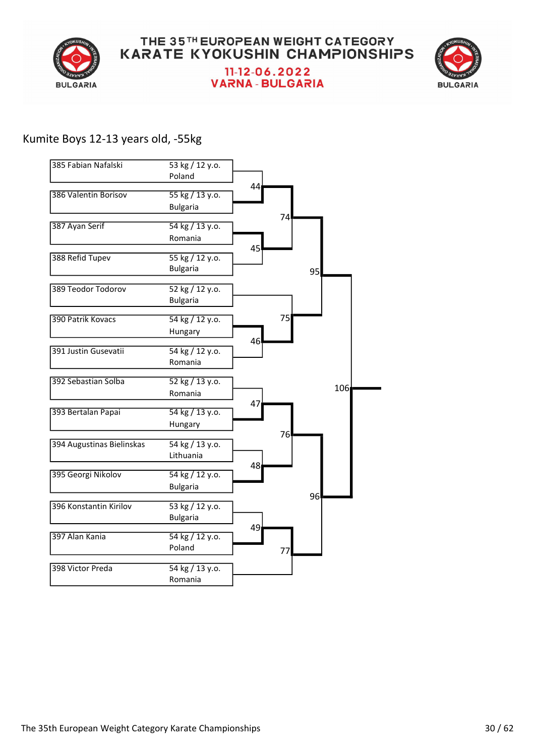



#### Kumite Boys 12-13 years old, -55kg

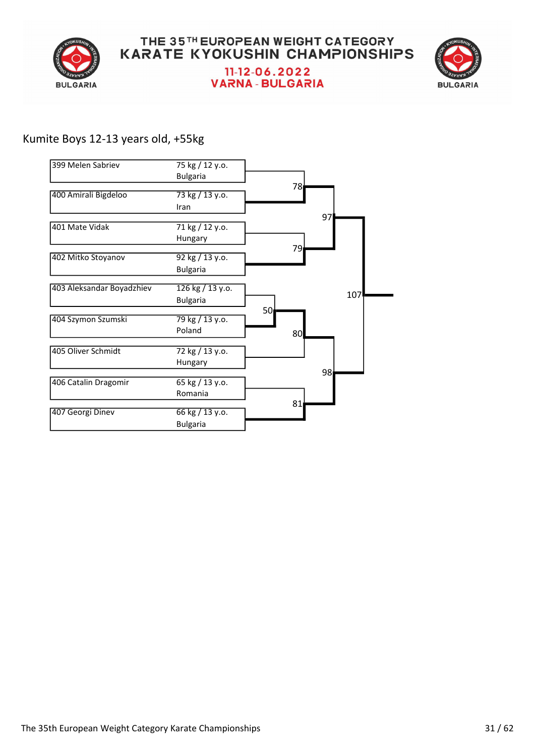



## Kumite Boys 12-13 years old, +55kg

| 399 Melen Sabriev         | 75 kg / 12 y.o.  |                 |                 |
|---------------------------|------------------|-----------------|-----------------|
|                           | <b>Bulgaria</b>  | 78∣             |                 |
| 400 Amirali Bigdeloo      | 73 kg / 13 y.o.  |                 |                 |
|                           | Iran             |                 |                 |
| 401 Mate Vidak            | 71 kg / 12 y.o.  |                 | 97              |
|                           | Hungary          |                 |                 |
| 402 Mitko Stoyanov        | 92 kg / 13 y.o.  | 79              |                 |
|                           | <b>Bulgaria</b>  |                 |                 |
| 403 Aleksandar Boyadzhiev | 126 kg / 13 y.o. |                 |                 |
|                           | <b>Bulgaria</b>  |                 | 107             |
| 404 Szymon Szumski        | 79 kg / 13 y.o.  | 50 <sub>l</sub> |                 |
|                           | Poland           | 80              |                 |
| 405 Oliver Schmidt        | 72 kg / 13 y.o.  |                 |                 |
|                           | Hungary          |                 |                 |
| 406 Catalin Dragomir      | 65 kg / 13 y.o.  |                 | 98 <sub>l</sub> |
|                           | Romania          |                 |                 |
| 407 Georgi Dinev          | 66 kg / 13 y.o.  | 81              |                 |
|                           | <b>Bulgaria</b>  |                 |                 |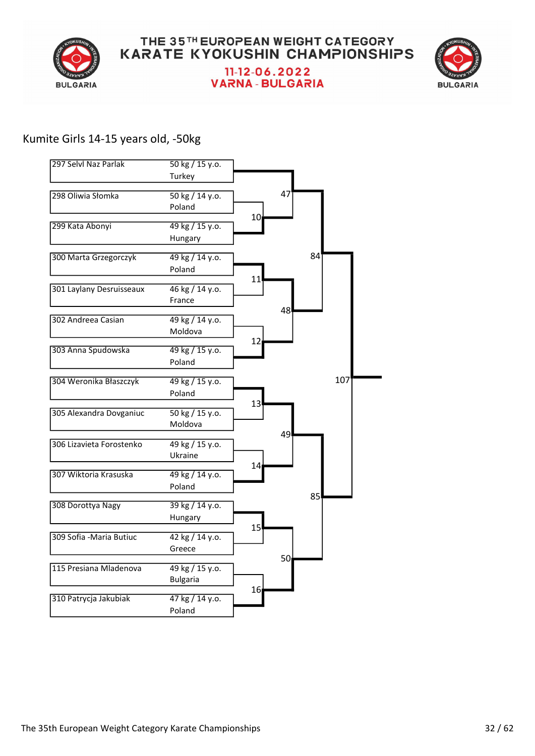



#### Kumite Girls 14-15 years old, -50kg

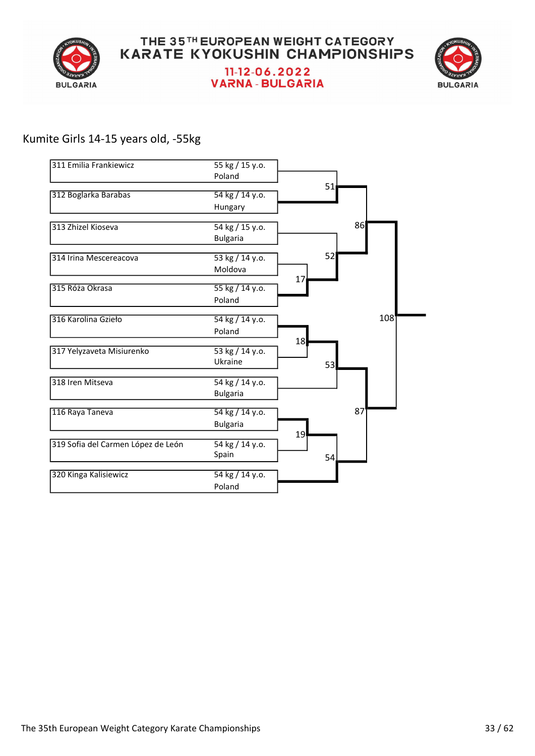



## Kumite Girls 14-15 years old, -55kg

| 311 Emilia Frankiewicz             | 55 kg / 15 y.o.           |    |     |     |
|------------------------------------|---------------------------|----|-----|-----|
|                                    | Poland                    |    |     |     |
| 312 Boglarka Barabas               | 54 kg / 14 y.o.           |    | 51  |     |
|                                    | Hungary                   |    |     |     |
| 313 Zhizel Kioseva                 | 54 kg / 15 y.o.           |    |     | 86  |
|                                    | <b>Bulgaria</b>           |    |     |     |
| 314 Irina Mescereacova             | 53 kg / 14 y.o.           |    | 52  |     |
|                                    | Moldova                   |    |     |     |
| 315 Róża Okrasa                    | 55 kg / 14 y.o.           | 17 |     |     |
|                                    | Poland                    |    |     |     |
|                                    |                           |    |     |     |
| 316 Karolina Gzieło                | 54 kg / 14 y.o.<br>Poland |    |     | 108 |
|                                    |                           | 18 |     |     |
| 317 Yelyzaveta Misiurenko          | 53 kg / 14 y.o.           |    |     |     |
|                                    | Ukraine                   |    | 53  |     |
| 318 Iren Mitseva                   | 54 kg / 14 y.o.           |    |     |     |
|                                    | <b>Bulgaria</b>           |    |     |     |
| 116 Raya Taneva                    | 54 kg / 14 y.o.           |    |     | 87  |
|                                    | <b>Bulgaria</b>           |    |     |     |
| 319 Sofia del Carmen López de León | 54 kg / 14 y.o.           | 19 |     |     |
|                                    | Spain                     |    | 54. |     |
| 320 Kinga Kalisiewicz              | 54 kg / 14 y.o.           |    |     |     |
|                                    | Poland                    |    |     |     |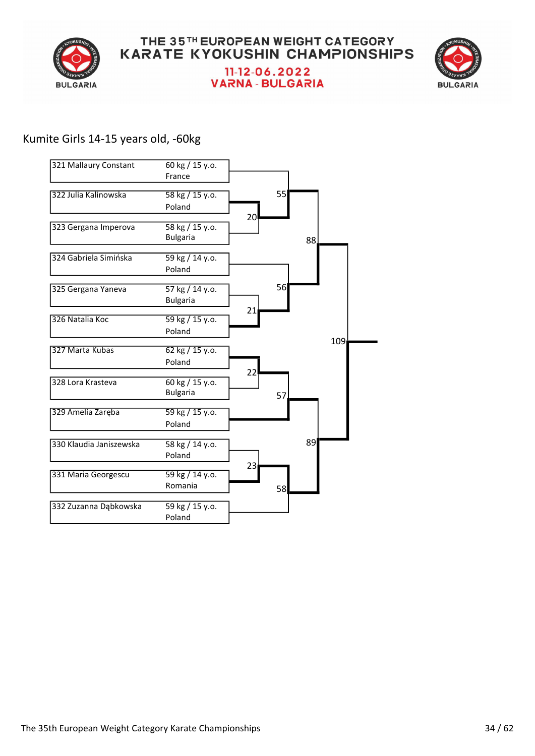



## Kumite Girls 14-15 years old, -60kg

| 321 Mallaury Constant   | 60 kg / 15 y.o.<br>France          |                 |    |     |     |  |
|-------------------------|------------------------------------|-----------------|----|-----|-----|--|
| 322 Julia Kalinowska    | 58 kg / 15 y.o.<br>Poland          |                 | 55 |     |     |  |
| 323 Gergana Imperova    | 58 kg / 15 y.o.<br><b>Bulgaria</b> | 20 <sup>°</sup> |    | 88. |     |  |
| 324 Gabriela Simińska   | 59 kg / 14 y.o.<br>Poland          |                 |    |     |     |  |
| 325 Gergana Yaneva      | 57 kg / 14 y.o.<br><b>Bulgaria</b> |                 | 56 |     |     |  |
| 326 Natalia Koc         | 59 kg / 15 y.o.<br>Poland          | 21              |    |     |     |  |
| 327 Marta Kubas         | 62 kg / 15 y.o.<br>Poland          |                 |    |     | 109 |  |
| 328 Lora Krasteva       | 60 kg / 15 y.o.<br><b>Bulgaria</b> | 22              | 57 |     |     |  |
| 329 Amelia Zaręba       | 59 kg / 15 y.o.<br>Poland          |                 |    |     |     |  |
| 330 Klaudia Janiszewska | 58 kg / 14 y.o.<br>Poland          |                 |    | 89  |     |  |
| 331 Maria Georgescu     | 59 kg / 14 y.o.<br>Romania         | 23              | 58 |     |     |  |
| 332 Zuzanna Dąbkowska   | 59 kg / 15 y.o.<br>Poland          |                 |    |     |     |  |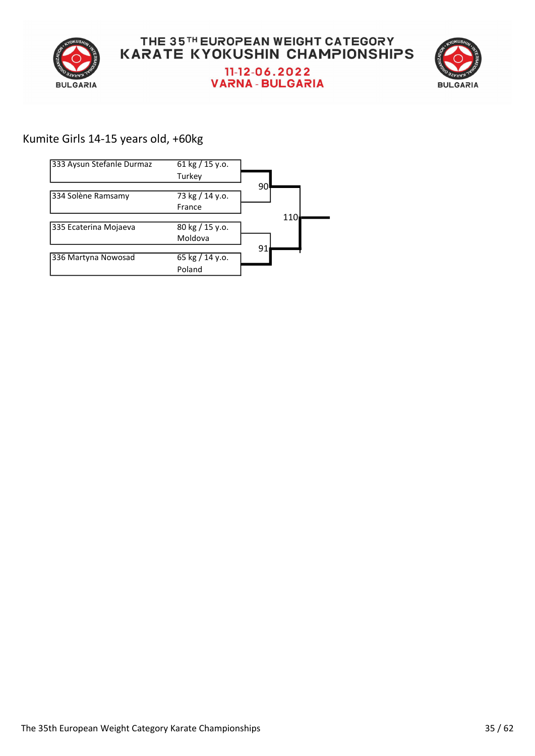



## Kumite Girls 14-15 years old, +60kg

| 333 Aysun Stefanle Durmaz | $61 \text{ kg} / 15 \text{ y.0}.$ |     |
|---------------------------|-----------------------------------|-----|
|                           | Turkey                            |     |
|                           |                                   | 90  |
| 334 Solène Ramsamy        | 73 kg / 14 y.o.                   |     |
|                           | France                            |     |
|                           |                                   | 110 |
| 335 Ecaterina Mojaeva     | 80 kg / 15 y.o.                   |     |
|                           | Moldova                           |     |
|                           |                                   | 91  |
| 336 Martyna Nowosad       | 65 kg / 14 y.o.                   |     |
|                           | Poland                            |     |
|                           |                                   |     |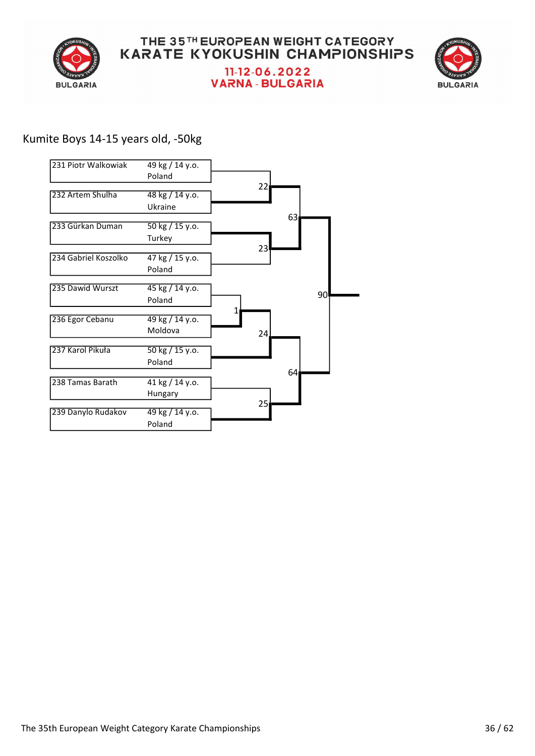



## Kumite Boys 14-15 years old, -50kg

| 231 Piotr Walkowiak  | 49 kg / 14 y.o.<br>Poland                     |                 |    |
|----------------------|-----------------------------------------------|-----------------|----|
| 232 Artem Shulha     | 48 kg / 14 y.o.<br>Ukraine                    | 22 <sub>1</sub> |    |
| 233 Gürkan Duman     | $\frac{1}{50 \text{ kg}}$ / 15 y.o.<br>Turkey | 63              |    |
| 234 Gabriel Koszolko | 47 kg / 15 y.o.<br>Poland                     | 23              |    |
| 235 Dawid Wurszt     | 45 kg / 14 y.o.<br>Poland                     |                 | 90 |
| 236 Egor Cebanu      | 49 kg / 14 y.o.<br>Moldova                    | 24.             |    |
| 237 Karol Pikuła     | 50 kg / 15 y.o.<br>Poland                     |                 |    |
| 238 Tamas Barath     | 41 kg / 14 y.o.<br>Hungary                    | 64              |    |
| 239 Danylo Rudakov   | 49 kg / 14 y.o.<br>Poland                     | 25 <sub>1</sub> |    |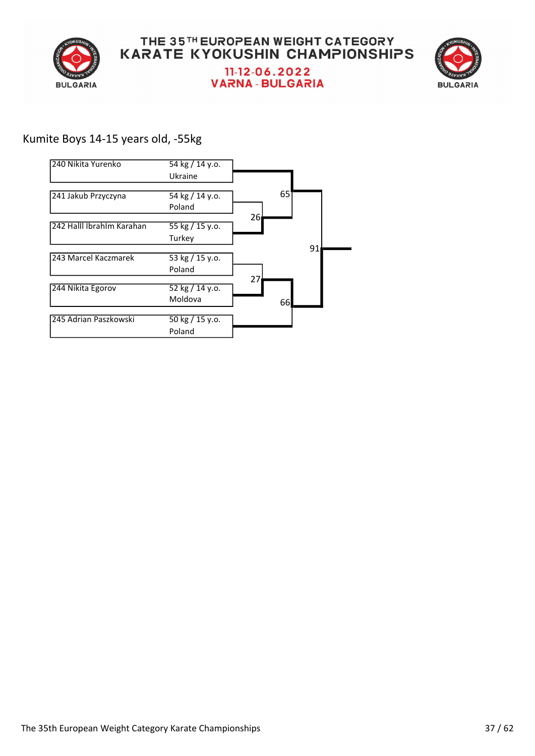



## Kumite Boys 14-15 years old, -55kg

| 240 Nikita Yurenko        | 54 kg / 14 y.o.             |                 |    |    |
|---------------------------|-----------------------------|-----------------|----|----|
|                           | Ukraine                     |                 |    |    |
|                           |                             |                 | 65 |    |
| 241 Jakub Przyczyna       | 54 kg / 14 y.o.<br>Poland   |                 |    |    |
|                           |                             | 26 <sub>l</sub> |    |    |
| 242 Halll İbrahlm Karahan | 55 kg / 15 y.o.             |                 |    |    |
|                           | Turkey                      |                 |    |    |
|                           |                             |                 |    | 91 |
| 243 Marcel Kaczmarek      | 53 kg / 15 y.o.             |                 |    |    |
|                           | Poland                      |                 |    |    |
| 244 Nikita Egorov         | 52 kg / 14 y.o.             | 27              |    |    |
|                           | Moldova                     |                 | 66 |    |
| 245 Adrian Paszkowski     | $\frac{1}{50}$ kg / 15 y.o. |                 |    |    |
|                           | Poland                      |                 |    |    |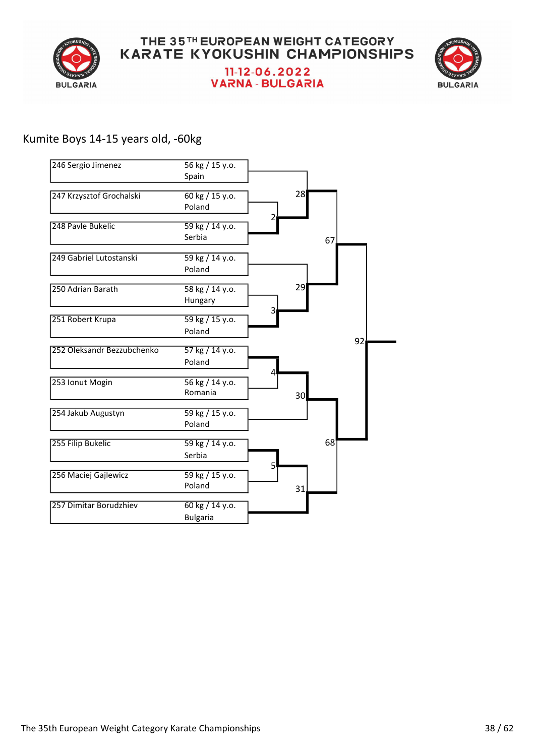



#### Kumite Boys 14-15 years old, -60kg

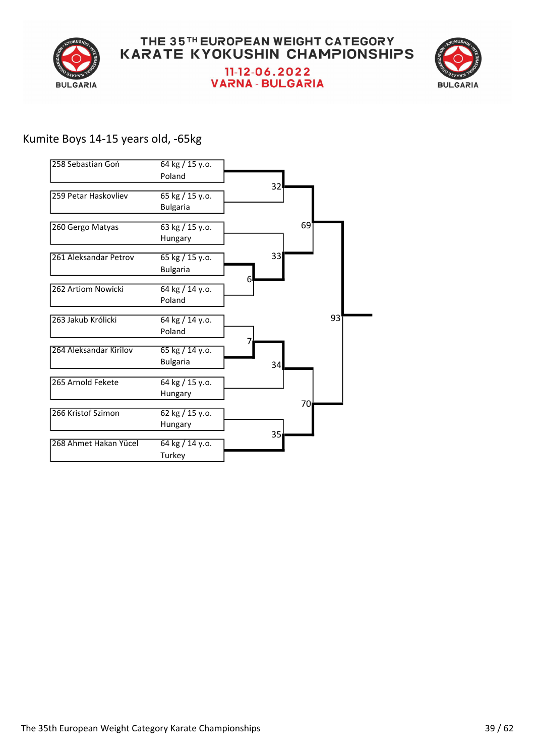



## Kumite Boys 14-15 years old, -65kg

| 258 Sebastian Goń      | 64 kg / 15 y.o.                    |                 |    |    |
|------------------------|------------------------------------|-----------------|----|----|
|                        | Poland                             |                 |    |    |
| 259 Petar Haskovliev   | 65 kg / 15 y.o.<br><b>Bulgaria</b> | 32 <sup>5</sup> |    |    |
| 260 Gergo Matyas       | 63 kg / 15 y.o.<br>Hungary         |                 | 69 |    |
| 261 Aleksandar Petrov  | 65 kg / 15 y.o.<br><b>Bulgaria</b> | 33              |    |    |
| 262 Artiom Nowicki     | 64 kg / 14 y.o.<br>Poland          | 6               |    |    |
| 263 Jakub Królicki     | 64 kg / 14 y.o.<br>Poland          |                 |    | 93 |
| 264 Aleksandar Kirilov | 65 kg / 14 y.o.<br><b>Bulgaria</b> | 34              |    |    |
| 265 Arnold Fekete      | 64 kg / 15 y.o.<br>Hungary         |                 |    |    |
| 266 Kristof Szimon     | 62 kg / 15 y.o.<br>Hungary         |                 | 70 |    |
| 268 Ahmet Hakan Yücel  | 64 kg / 14 y.o.<br>Turkey          | 35              |    |    |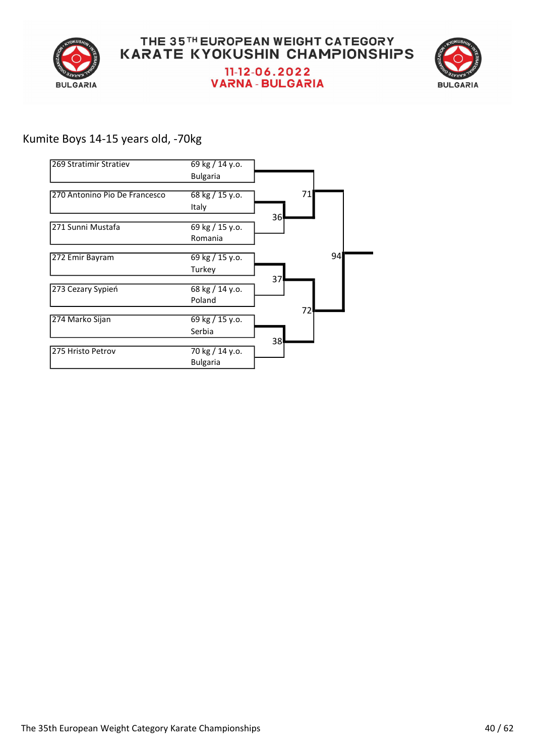



#### Kumite Boys 14-15 years old, -70kg

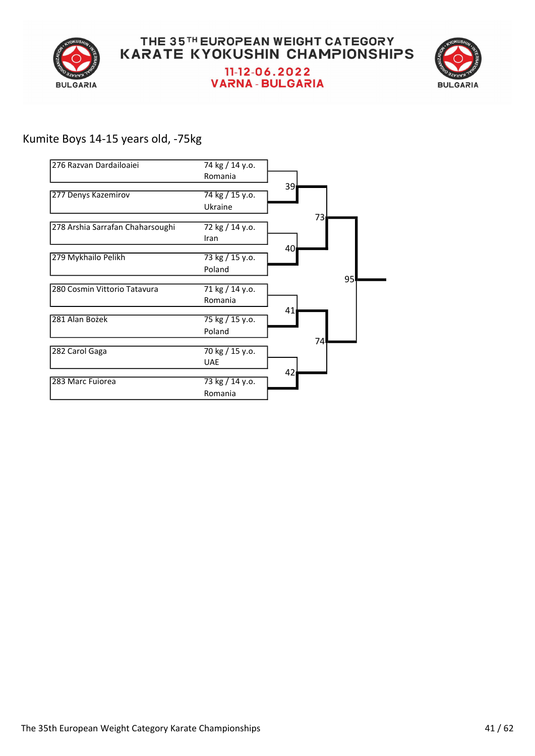



## Kumite Boys 14-15 years old, -75kg

| 276 Razvan Dardailoaiei          | 74 kg / 14 y.o. |                 |
|----------------------------------|-----------------|-----------------|
|                                  | Romania         |                 |
|                                  |                 | 39۱             |
| 277 Denys Kazemirov              | 74 kg / 15 y.o. |                 |
|                                  | Ukraine         |                 |
|                                  |                 | 73              |
| 278 Arshia Sarrafan Chaharsoughi | 72 kg / 14 y.o. |                 |
|                                  | Iran            | 40 <sub>l</sub> |
| 279 Mykhailo Pelikh              | 73 kg / 15 y.o. |                 |
|                                  | Poland          |                 |
|                                  |                 | 95              |
| 280 Cosmin Vittorio Tatavura     | 71 kg / 14 y.o. |                 |
|                                  | Romania         |                 |
| 281 Alan Bożek                   | 75 kg / 15 y.o. | 41              |
|                                  |                 |                 |
|                                  | Poland          | 74              |
| 282 Carol Gaga                   | 70 kg / 15 y.o. |                 |
|                                  | <b>UAE</b>      |                 |
|                                  |                 | 42 <sub>l</sub> |
| 283 Marc Fuiorea                 | 73 kg / 14 y.o. |                 |
|                                  | Romania         |                 |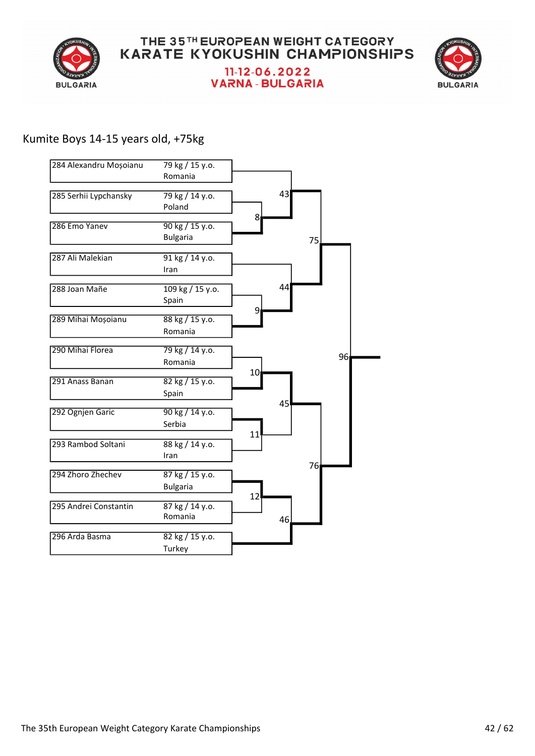



## Kumite Boys 14-15 years old, +75kg

| 284 Alexandru Moșoianu | 79 kg / 15 y.o.                            |    |     |     |
|------------------------|--------------------------------------------|----|-----|-----|
|                        | Romania                                    |    |     |     |
| 285 Serhii Lypchansky  | $\sqrt{79 \text{ kg}}$ / 14 y.o.<br>Poland |    | 43  |     |
| 286 Emo Yanev          | 90 kg / 15 y.o.<br><b>Bulgaria</b>         | 8  |     | 75. |
| 287 Ali Malekian       | 91 kg / 14 y.o.<br>Iran                    |    |     |     |
| 288 Joan Mañe          | 109 kg / 15 y.o.<br>Spain                  |    | 44  |     |
| 289 Mihai Moșoianu     | 88 kg / 15 y.o.<br>Romania                 | 9  |     |     |
| 290 Mihai Florea       | 79 kg / 14 y.o.<br>Romania                 |    |     | 96  |
| 291 Anass Banan        | 82 kg / 15 y.o.<br>Spain                   | 10 |     |     |
| 292 Ognjen Garic       | 90 kg / 14 y.o.<br>Serbia                  |    | 45  |     |
| 293 Rambod Soltani     | 88 kg / 14 y.o.<br>Iran                    | 11 |     |     |
| 294 Zhoro Zhechev      | 87 kg / 15 y.o.<br><b>Bulgaria</b>         |    |     | 76  |
| 295 Andrei Constantin  | 87 kg / 14 y.o.<br>Romania                 | 12 | 46. |     |
| 296 Arda Basma         | 82 kg / 15 y.o.<br>Turkey                  |    |     |     |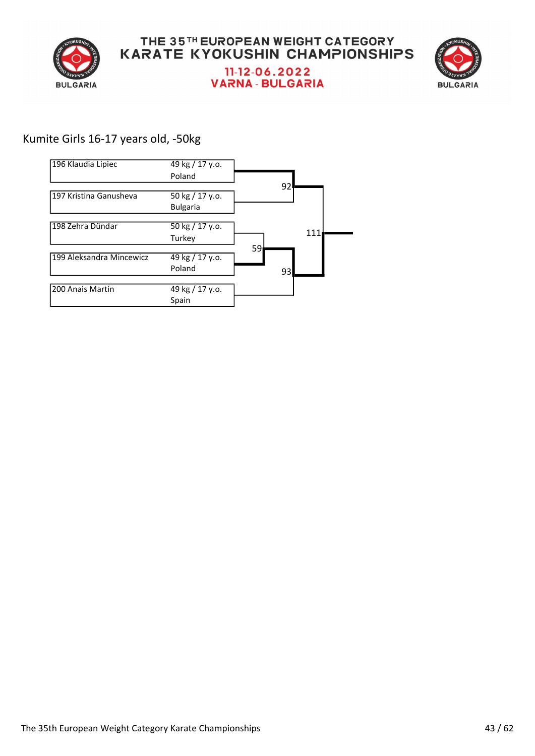



## Kumite Girls 16-17 years old, -50kg

| 196 Klaudia Lipiec       | 49 kg / 17 y.o.                     |    |     |
|--------------------------|-------------------------------------|----|-----|
|                          | Poland                              |    |     |
|                          |                                     | 92 |     |
| 197 Kristina Ganusheva   | 50 kg / 17 y.o.                     |    |     |
|                          | <b>Bulgaria</b>                     |    |     |
|                          |                                     |    |     |
| 198 Zehra Dündar         | $\frac{1}{50 \text{ kg}}$ / 17 y.o. |    | 111 |
|                          | Turkey                              |    |     |
|                          |                                     | 59 |     |
| 199 Aleksandra Mincewicz | 49 kg / 17 y.o.                     |    |     |
|                          | Poland                              | 93 |     |
|                          |                                     |    |     |
| 200 Anais Martín         | 49 kg / 17 y.o.                     |    |     |
|                          | Spain                               |    |     |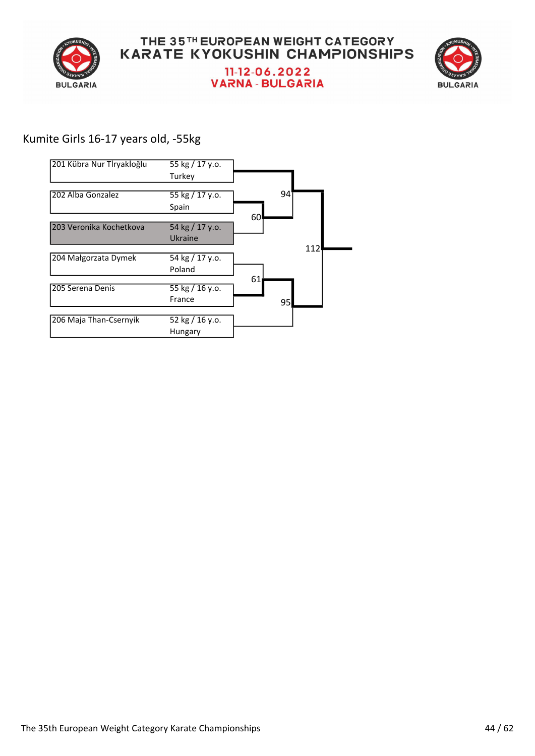



## Kumite Girls 16-17 years old, -55kg

| 55 kg / 17 y.o. |                 |     |
|-----------------|-----------------|-----|
| Turkey          |                 |     |
|                 |                 |     |
|                 |                 |     |
| Spain           |                 |     |
|                 | 60              |     |
| 54 kg / 17 y.o. |                 |     |
| Ukraine         |                 |     |
|                 |                 | 112 |
| 54 kg / 17 y.o. |                 |     |
| Poland          |                 |     |
|                 | 61              |     |
| 55 kg / 16 y.o. |                 |     |
| France          | 95              |     |
|                 |                 |     |
| 52 kg / 16 y.o. |                 |     |
| Hungary         |                 |     |
|                 | 55 kg / 17 y.o. | 94  |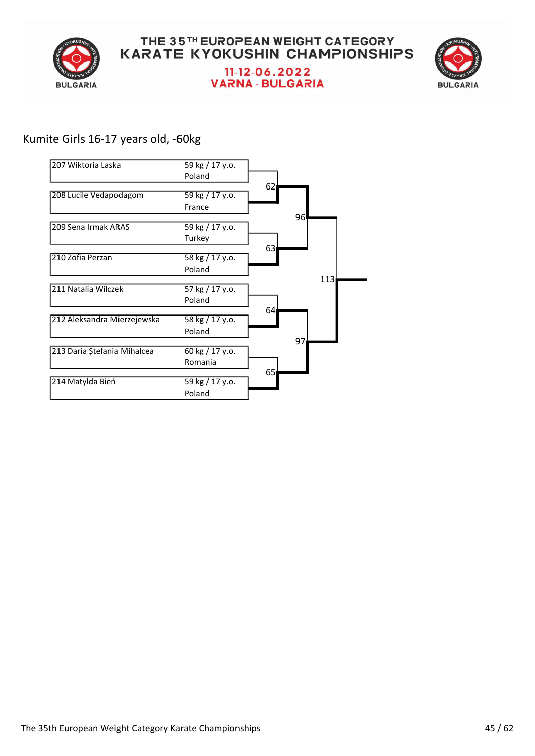



## Kumite Girls 16-17 years old, -60kg

| 207 Wiktoria Laska          | 59 kg / 17 y.o. |                 |
|-----------------------------|-----------------|-----------------|
|                             | Poland          |                 |
|                             |                 | 62 <sub>1</sub> |
| 208 Lucile Vedapodagom      | 59 kg / 17 y.o. |                 |
|                             | France          |                 |
|                             |                 | 96              |
| 209 Sena Irmak ARAS         | 59 kg / 17 y.o. |                 |
|                             | Turkey          |                 |
|                             |                 | 63              |
| 210 Zofia Perzan            | 58 kg / 17 y.o. |                 |
|                             | Poland          |                 |
|                             |                 | 113             |
| 211 Natalia Wilczek         | 57 kg / 17 y.o. |                 |
|                             | Poland          |                 |
|                             |                 | 64              |
| 212 Aleksandra Mierzejewska | 58 kg / 17 y.o. |                 |
|                             | Poland          |                 |
|                             |                 | 97              |
| 213 Daria Ștefania Mihalcea | 60 kg / 17 y.o. |                 |
|                             | Romania         |                 |
|                             |                 | 65              |
| 214 Matylda Bień            | 59 kg / 17 y.o. |                 |
|                             | Poland          |                 |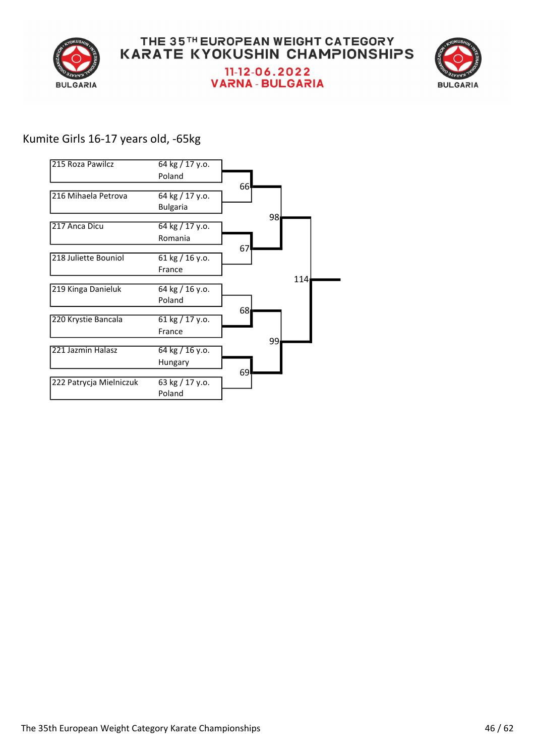

#### THE 35TH EUROPEAN WEIGHT CATEGORY **KARATE KYOKUSHIN CHAMPIONSHIPS** 11-12-06.2022 **VARNA - BULGARIA**



## Kumite Girls 16-17 years old, -65kg

| 215 Roza Pawilcz        | 64 kg / 17 y.o.                   |     |
|-------------------------|-----------------------------------|-----|
|                         | Poland                            |     |
|                         |                                   | 66  |
| 216 Mihaela Petrova     | 64 kg / 17 y.o.                   |     |
|                         | <b>Bulgaria</b>                   |     |
|                         |                                   | 98  |
| 217 Anca Dicu           | 64 kg / 17 y.o.                   |     |
|                         | Romania                           |     |
|                         |                                   | 67  |
| 218 Juliette Bouniol    | 61 kg $/$ 16 y.o.                 |     |
|                         | France                            |     |
|                         |                                   | 114 |
| 219 Kinga Danieluk      | 64 kg / 16 y.o.                   |     |
|                         | Poland                            | 68  |
| 220 Krystie Bancala     | $61 \text{ kg} / 17 \text{ y.o.}$ |     |
|                         | France                            |     |
|                         |                                   | 99  |
| 221 Jazmin Halasz       | 64 kg / 16 y.o.                   |     |
|                         | Hungary                           |     |
|                         |                                   | 69  |
| 222 Patrycja Mielniczuk | 63 kg / 17 y.o.                   |     |
|                         | Poland                            |     |
|                         |                                   |     |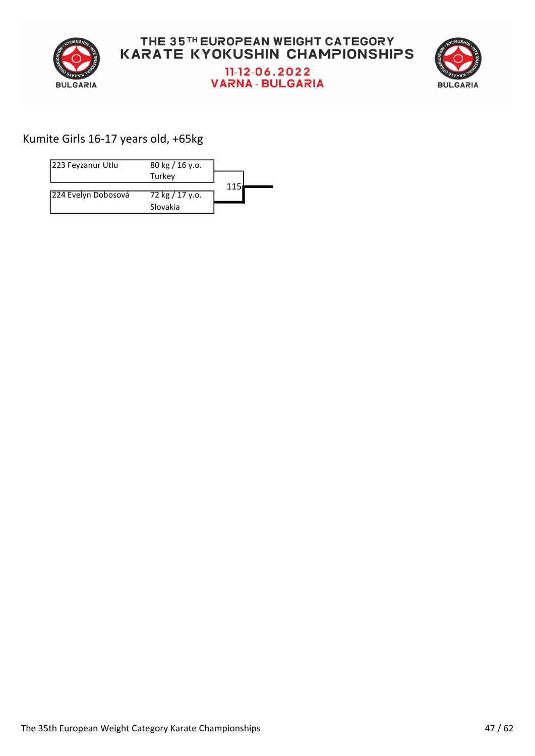



## Kumite Girls 16-17 years old, +65kg

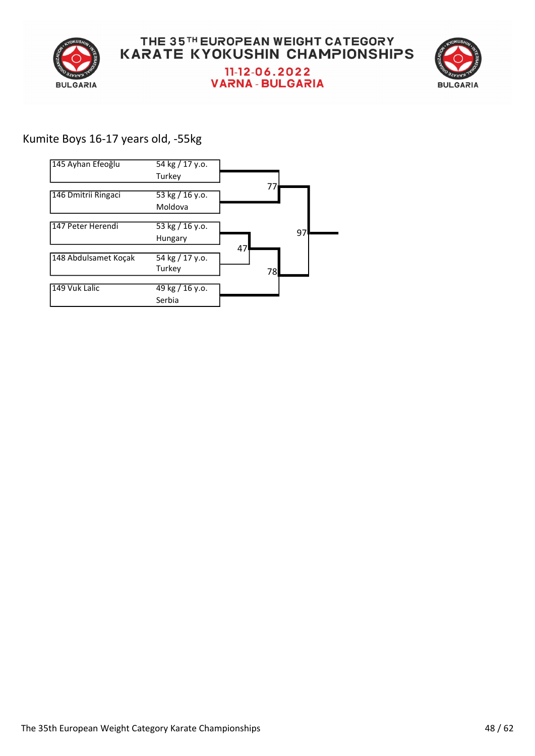



## Kumite Boys 16-17 years old, -55kg

| $\frac{1}{54}$ kg / 17 y.o. |    |    |
|-----------------------------|----|----|
| Turkey                      |    |    |
|                             | 77 |    |
| 53 kg $/$ 16 y.o.           |    |    |
| Moldova                     |    |    |
|                             |    |    |
| $\frac{1}{53}$ kg / 16 y.o. |    | 97 |
| Hungary                     |    |    |
|                             |    |    |
| 54 kg / 17 y.o.             |    |    |
| Turkey                      | 78 |    |
|                             |    |    |
| 49 kg / 16 y.o.             |    |    |
| Serbia                      |    |    |
|                             |    | 47 |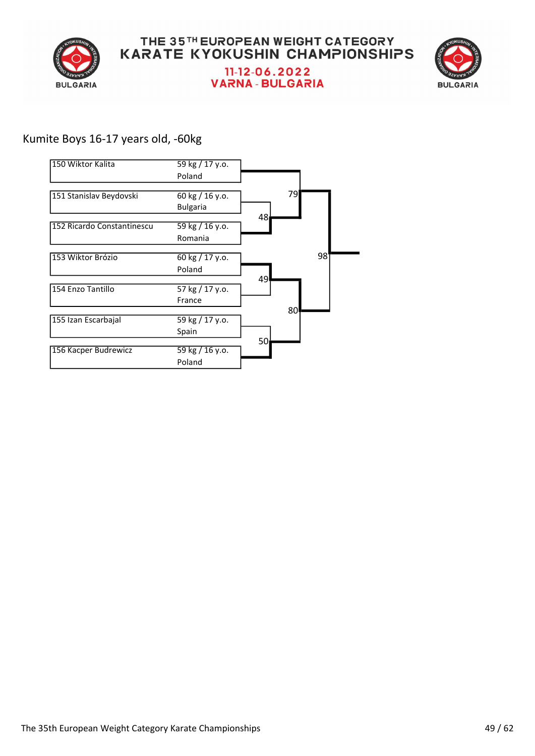



## Kumite Boys 16-17 years old, -60kg

| 150 Wiktor Kalita          | 59 kg / 17 y.o. |    |    |    |
|----------------------------|-----------------|----|----|----|
|                            | Poland          |    |    |    |
|                            |                 |    | 79 |    |
| 151 Stanislav Beydovski    | 60 kg / 16 y.o. |    |    |    |
|                            | <b>Bulgaria</b> |    |    |    |
|                            |                 | 48 |    |    |
| 152 Ricardo Constantinescu | 59 kg / 16 y.o. |    |    |    |
|                            | Romania         |    |    |    |
| 153 Wiktor Brózio          | 60 kg / 17 y.o. |    |    | 98 |
|                            |                 |    |    |    |
|                            | Poland          |    |    |    |
|                            |                 | 49 |    |    |
| 154 Enzo Tantillo          | 57 kg / 17 y.o. |    |    |    |
|                            | France          |    |    |    |
|                            |                 |    | 80 |    |
| 155 Izan Escarbajal        | 59 kg / 17 y.o. |    |    |    |
|                            | Spain           |    |    |    |
|                            |                 | 50 |    |    |
| 156 Kacper Budrewicz       | 59 kg / 16 y.o. |    |    |    |
|                            | Poland          |    |    |    |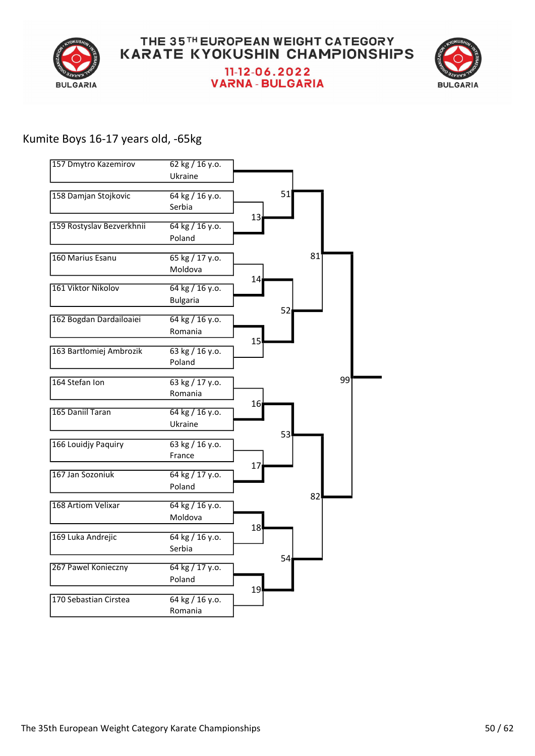



#### Kumite Boys 16-17 years old, -65kg

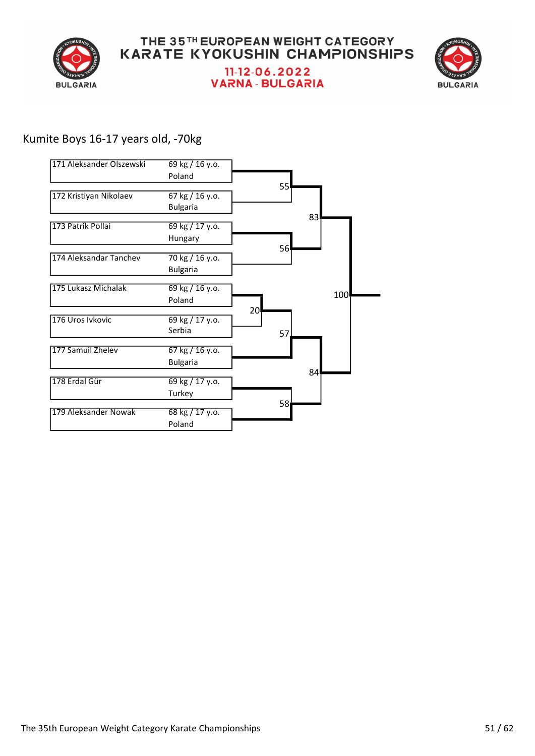



## Kumite Boys 16-17 years old, -70kg

| 171 Aleksander Olszewski | 69 kg / 16 y.o.                    |                 |     |
|--------------------------|------------------------------------|-----------------|-----|
|                          | Poland                             |                 |     |
| 172 Kristiyan Nikolaev   | 67 kg / 16 y.o.<br><b>Bulgaria</b> | 55              |     |
| 173 Patrik Pollai        | $69$ kg / 17 y.o.<br>Hungary       |                 | 83  |
| 174 Aleksandar Tanchev   | 70 kg / 16 y.o.<br><b>Bulgaria</b> | 56              |     |
| 175 Lukasz Michalak      | 69 kg / 16 y.o.<br>Poland          |                 | 100 |
| 176 Uros Ivkovic         | 69 kg / 17 y.o.<br>Serbia          | 20<br>57        |     |
| 177 Samuil Zhelev        | 67 kg / 16 y.o.<br><b>Bulgaria</b> |                 |     |
| 178 Erdal Gür            | 69 kg / 17 y.o.<br>Turkey          |                 | 84  |
| 179 Aleksander Nowak     | 68 kg / 17 y.o.<br>Poland          | 58 <sub>l</sub> |     |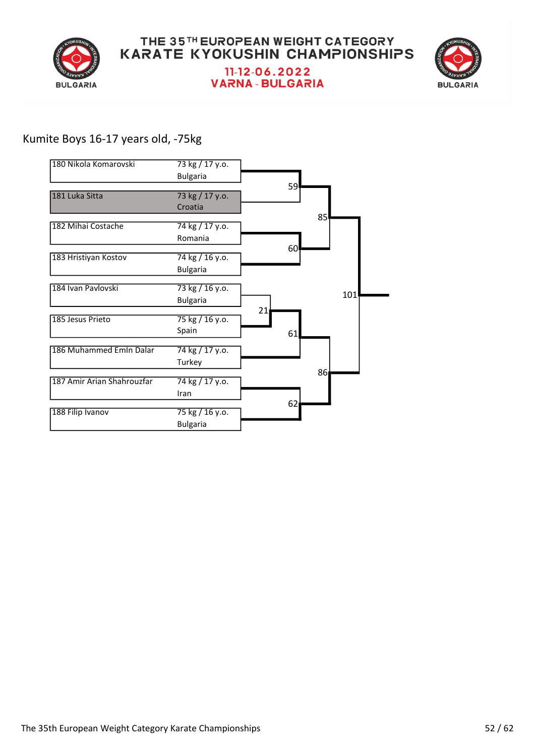



## Kumite Boys 16-17 years old, -75kg

| 180 Nikola Komarovski      | 73 kg / 17 y.o.<br><b>Bulgaria</b> |    |     |    |     |  |
|----------------------------|------------------------------------|----|-----|----|-----|--|
|                            |                                    |    | 59l |    |     |  |
| 181 Luka Sitta             | 73 kg / 17 y.o.                    |    |     |    |     |  |
|                            | Croatia                            |    |     |    |     |  |
|                            |                                    |    |     | 85 |     |  |
| 182 Mihai Costache         | 74 kg / 17 y.o.                    |    |     |    |     |  |
|                            | Romania                            |    | 60  |    |     |  |
| 183 Hristiyan Kostov       | 74 kg / 16 y.o.                    |    |     |    |     |  |
|                            | <b>Bulgaria</b>                    |    |     |    |     |  |
|                            |                                    |    |     |    |     |  |
| 184 Ivan Pavlovski         | 73 kg / 16 y.o.                    |    |     |    | 101 |  |
|                            | <b>Bulgaria</b>                    |    |     |    |     |  |
| 185 Jesus Prieto           | 75 kg / 16 y.o.                    | 21 |     |    |     |  |
|                            | Spain                              |    | 61  |    |     |  |
|                            |                                    |    |     |    |     |  |
| 186 Muhammed Emin Dalar    | 74 kg / 17 y.o.                    |    |     |    |     |  |
|                            | Turkey                             |    |     |    |     |  |
| 187 Amir Arian Shahrouzfar | 74 kg / 17 y.o.                    |    |     | 86 |     |  |
|                            | Iran                               |    |     |    |     |  |
|                            |                                    |    | 62  |    |     |  |
| 188 Filip Ivanov           | 75 kg / 16 y.o.                    |    |     |    |     |  |
|                            | <b>Bulgaria</b>                    |    |     |    |     |  |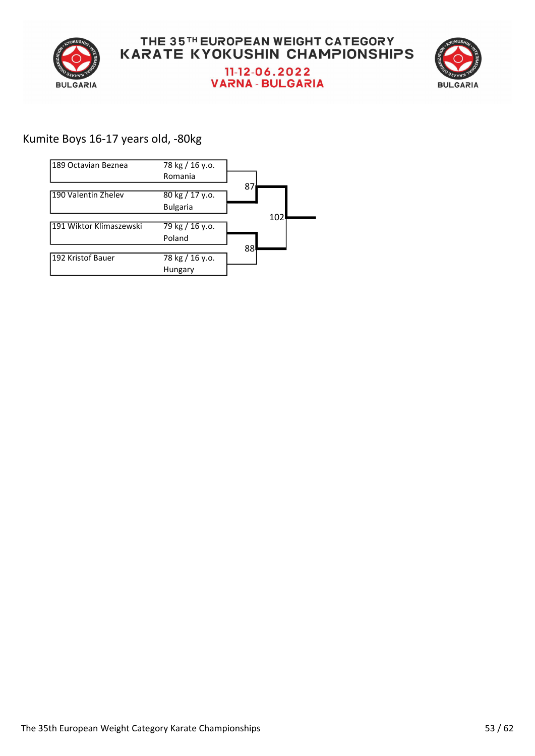



## Kumite Boys 16-17 years old, -80kg

| 189 Octavian Beznea     | 78 kg / 16 y.o. |     |
|-------------------------|-----------------|-----|
|                         | Romania         |     |
|                         |                 | 87  |
| 190 Valentin Zhelev     | 80 kg / 17 y.o. |     |
|                         | <b>Bulgaria</b> |     |
|                         |                 | 102 |
| 191 Wiktor Klimaszewski | 79 kg / 16 y.o. |     |
|                         | Poland          |     |
|                         |                 | 88  |
| 192 Kristof Bauer       | 78 kg / 16 y.o. |     |
|                         | Hungary         |     |
|                         |                 |     |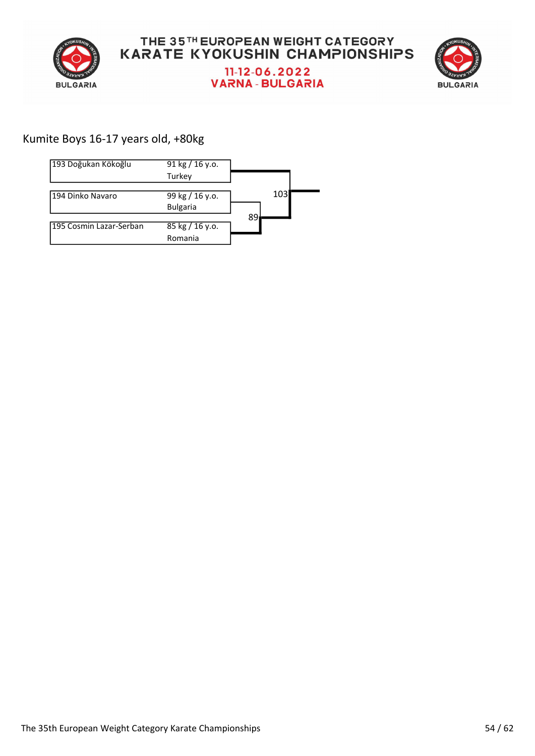



## Kumite Boys 16-17 years old, +80kg

| 193 Doğukan Kökoğlu     | 91 kg $/$ 16 y.o. |    |     |  |
|-------------------------|-------------------|----|-----|--|
|                         | Turkey            |    |     |  |
|                         |                   |    |     |  |
| 194 Dinko Navaro        | 99 kg / 16 y.o.   |    | 103 |  |
|                         | <b>Bulgaria</b>   |    |     |  |
|                         |                   | 89 |     |  |
| 195 Cosmin Lazar-Serban | 85 kg / 16 y.o.   |    |     |  |
|                         | Romania           |    |     |  |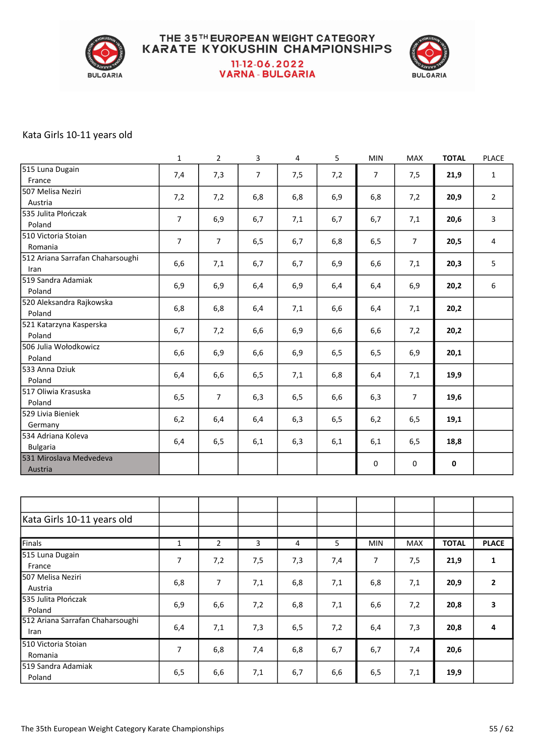

#### THE 35TH EUROPEAN WEIGHT CATEGORY **KARATE KYOKUSHIN CHAMPIONSHIPS** 11-12-06.2022 **VARNA - BULGARIA**



#### Kata Girls 10-11 years old

|                                  | $\mathbf{1}$   | $\overline{2}$ | 3              | 4   | 5   | <b>MIN</b>     | MAX            | <b>TOTAL</b> | <b>PLACE</b>   |
|----------------------------------|----------------|----------------|----------------|-----|-----|----------------|----------------|--------------|----------------|
| 515 Luna Dugain                  | 7,4            | 7,3            | $\overline{7}$ | 7,5 | 7,2 | $\overline{7}$ | 7,5            | 21,9         | $\mathbf{1}$   |
| France                           |                |                |                |     |     |                |                |              |                |
| 507 Melisa Neziri                | 7,2            | 7,2            | 6,8            | 6,8 | 6,9 | 6, 8           | 7,2            | 20,9         | $\overline{2}$ |
| Austria                          |                |                |                |     |     |                |                |              |                |
| 535 Julita Płończak              | $\overline{7}$ | 6,9            | 6,7            | 7,1 | 6,7 | 6,7            | 7,1            | 20,6         | $\mathbf{3}$   |
| Poland                           |                |                |                |     |     |                |                |              |                |
| 510 Victoria Stoian              | $\overline{7}$ | $\overline{7}$ | 6,5            | 6,7 | 6,8 | 6, 5           | $\overline{7}$ | 20,5         | 4              |
| Romania                          |                |                |                |     |     |                |                |              |                |
| 512 Ariana Sarrafan Chaharsoughi | 6,6            | 7,1            | 6,7            | 6,7 | 6,9 | 6,6            | 7,1            | 20,3         | 5              |
| Iran                             |                |                |                |     |     |                |                |              |                |
| 519 Sandra Adamiak               | 6,9            | 6,9            | 6,4            | 6,9 | 6,4 | 6,4            | 6,9            | 20,2         | 6              |
| Poland                           |                |                |                |     |     |                |                |              |                |
| 520 Aleksandra Rajkowska         | 6,8            | 6,8            | 6,4            | 7,1 | 6,6 | 6,4            | 7,1            | 20,2         |                |
| Poland                           |                |                |                |     |     |                |                |              |                |
| 521 Katarzyna Kasperska          | 6,7            | 7,2            | 6,6            | 6,9 | 6,6 | 6,6            | 7,2            | 20,2         |                |
| Poland                           |                |                |                |     |     |                |                |              |                |
| 506 Julia Wołodkowicz            | 6,6            | 6,9            | 6,6            | 6,9 | 6,5 | 6,5            | 6,9            | 20,1         |                |
| Poland                           |                |                |                |     |     |                |                |              |                |
| 533 Anna Dziuk                   | 6,4            | 6,6            | 6, 5           | 7,1 | 6,8 | 6,4            | 7,1            | 19,9         |                |
| Poland                           |                |                |                |     |     |                |                |              |                |
| 517 Oliwia Krasuska              | 6, 5           | $\overline{7}$ | 6,3            | 6,5 | 6,6 | 6,3            | $\overline{7}$ | 19,6         |                |
| Poland                           |                |                |                |     |     |                |                |              |                |
| 529 Livia Bieniek                | 6,2            | 6,4            | 6,4            | 6,3 | 6,5 | 6,2            | 6, 5           | 19,1         |                |
| Germany                          |                |                |                |     |     |                |                |              |                |
| 534 Adriana Koleva               | 6,4            | 6,5            | 6,1            | 6,3 | 6,1 | 6,1            | 6,5            | 18,8         |                |
| <b>Bulgaria</b>                  |                |                |                |     |     |                |                |              |                |
| 531 Miroslava Medvedeva          |                |                |                |     |     | $\pmb{0}$      | 0              | $\pmb{0}$    |                |
| Austria                          |                |                |                |     |     |                |                |              |                |
|                                  |                |                |                |     |     |                |                |              |                |
|                                  |                |                |                |     |     |                |                |              |                |
|                                  |                |                |                |     |     |                |                |              |                |
| Kata Girls 10-11 years old       |                |                |                |     |     |                |                |              |                |
|                                  |                |                |                |     |     |                |                |              |                |
| Finals                           | $\mathbf{1}$   | $\overline{2}$ | 3              | 4   | 5   | <b>MIN</b>     | MAX            | <b>TOTAL</b> | <b>PLACE</b>   |
| 515 Luna Dugain                  | $\overline{7}$ | 7,2            | 7,5            | 7,3 | 7,4 | $\overline{7}$ | 7,5            | 21,9         | 1              |
| France                           |                |                |                |     |     |                |                |              |                |
| 507 Melisa Neziri                | 6,8            | $\overline{7}$ | 7,1            | 6,8 | 7,1 | 6,8            | 7,1            | 20,9         | $\mathbf{2}$   |
| Austria                          |                |                |                |     |     |                |                |              |                |
| 535 Julita Płończak              | 6,9            | 6, 6           | 7,2            | 6,8 | 7,1 | 6,6            | 7,2            | 20,8         | $\mathbf{3}$   |
| Poland                           |                |                |                |     |     |                |                |              |                |
| 512 Ariana Sarrafan Chaharsoughi | 6,4            | 7,1            | 7,3            | 6,5 | 7,2 | 6,4            | 7,3            | 20,8         | 4              |
| Iran                             |                |                |                |     |     |                |                |              |                |
| 510 Victoria Stoian              | $\overline{7}$ | 6,8            | 7,4            | 6,8 | 6,7 | 6,7            | 7,4            | 20,6         |                |
| Romania                          |                |                |                |     |     |                |                |              |                |
| 519 Sandra Adamiak               | 6, 5           | 6,6            | 7,1            | 6,7 | 6,6 | 6,5            | 7,1            | 19,9         |                |
| Poland                           |                |                |                |     |     |                |                |              |                |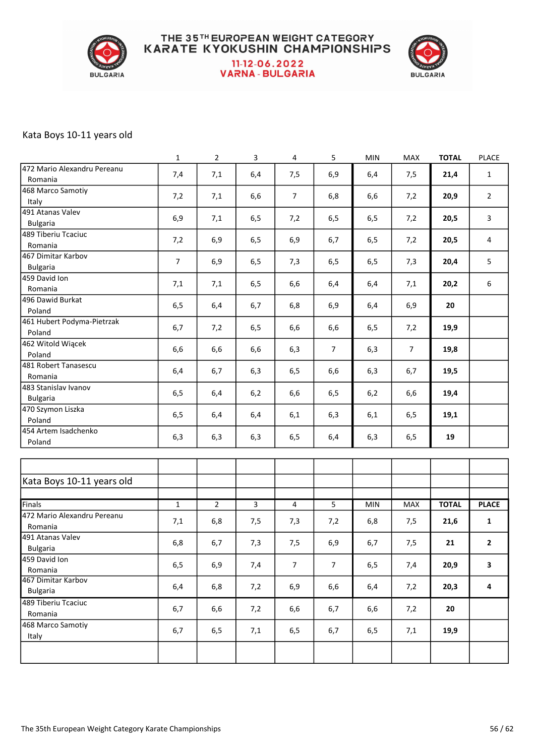

#### THE 35TH EUROPEAN WEIGHT CATEGORY **KARATE KYOKUSHIN CHAMPIONSHIPS** 11-12-06.2022 **VARNA-BULGARIA**



#### Kata Boys 10-11 years old

|                                        | $\mathbf 1$    | $\overline{2}$ | 3            | $\overline{\mathbf{4}}$ | 5              | MIN  | MAX            | <b>TOTAL</b> | <b>PLACE</b>   |
|----------------------------------------|----------------|----------------|--------------|-------------------------|----------------|------|----------------|--------------|----------------|
| 472 Mario Alexandru Pereanu<br>Romania | 7,4            | 7,1            | 6,4          | 7,5                     | 6,9            | 6,4  | 7,5            | 21,4         | $\mathbf{1}$   |
| 468 Marco Samotiy                      |                |                |              |                         |                |      |                |              |                |
| Italy                                  | 7,2            | 7,1            | 6,6          | 7                       | 6,8            | 6,6  | 7,2            | 20,9         | $\overline{2}$ |
| 491 Atanas Valev                       |                |                |              |                         |                |      |                |              |                |
| <b>Bulgaria</b>                        | 6,9            | 7,1            | 6,5          | 7,2                     | 6,5            | 6,5  | 7,2            | 20,5         | $\mathbf{3}$   |
| 489 Tiberiu Tcaciuc                    |                |                |              |                         |                |      |                |              |                |
| Romania                                | 7,2            | 6,9            | 6, 5         | 6,9                     | 6,7            | 6, 5 | 7,2            | 20,5         | 4              |
| 467 Dimitar Karbov                     |                |                |              |                         |                |      |                |              |                |
| <b>Bulgaria</b>                        | $\overline{7}$ | 6,9            | 6, 5         | 7,3                     | 6,5            | 6,5  | 7,3            | 20,4         | 5              |
| 459 David Ion                          |                |                |              |                         |                |      |                |              |                |
| Romania                                | 7,1            | 7,1            | 6, 5         | 6,6                     | 6,4            | 6,4  | 7,1            | 20,2         | 6              |
| 496 Dawid Burkat                       | 6, 5           | 6,4            | 6,7          | 6,8                     | 6,9            | 6,4  | 6,9            | 20           |                |
| Poland                                 |                |                |              |                         |                |      |                |              |                |
| 461 Hubert Podyma-Pietrzak             | 6,7            | 7,2            | 6, 5         | 6,6                     | 6,6            | 6, 5 | 7,2            | 19,9         |                |
| Poland                                 |                |                |              |                         |                |      |                |              |                |
| 462 Witold Wiącek                      | 6,6            | 6,6            | 6,6          | 6,3                     | $\overline{7}$ | 6,3  | $\overline{7}$ | 19,8         |                |
| Poland                                 |                |                |              |                         |                |      |                |              |                |
| 481 Robert Tanasescu                   | 6,4            | 6,7            | 6,3          | 6,5                     | 6,6            | 6,3  | 6,7            | 19,5         |                |
| Romania                                |                |                |              |                         |                |      |                |              |                |
| 483 Stanislav Ivanov                   | 6, 5           | 6,4            | 6,2          | 6,6                     | 6,5            | 6,2  | 6,6            | 19,4         |                |
| <b>Bulgaria</b>                        |                |                |              |                         |                |      |                |              |                |
| 470 Szymon Liszka                      | 6, 5           | 6,4            | 6,4          | 6,1                     | 6,3            | 6,1  | 6,5            | 19,1         |                |
| Poland<br>454 Artem Isadchenko         |                |                |              |                         |                |      |                |              |                |
| Poland                                 | 6,3            | 6,3            | 6,3          | 6, 5                    | 6,4            | 6,3  | 6,5            | 19           |                |
|                                        |                |                |              |                         |                |      |                |              |                |
|                                        |                |                |              |                         |                |      |                |              |                |
| Kata Boys 10-11 years old              |                |                |              |                         |                |      |                |              |                |
|                                        |                |                |              |                         |                |      |                |              |                |
| Finals                                 | $\mathbf{1}$   | $\overline{2}$ | $\mathbf{3}$ | 4                       | 5              | MIN  | MAX            | <b>TOTAL</b> | <b>PLACE</b>   |
| 472 Mario Alexandru Pereanu            | 7,1            | 6,8            | 7,5          | 7,3                     | 7,2            | 6,8  | 7,5            | 21,6         | $\mathbf{1}$   |
| Romania                                |                |                |              |                         |                |      |                |              |                |
| 491 Atanas Valev                       | 6,8            | 6,7            | 7,3          | 7,5                     | 6,9            | 6,7  | 7,5            | 21           | 2              |
| <b>Bulgaria</b>                        |                |                |              |                         |                |      |                |              |                |
| 459 David Ion                          | 6, 5           | 6,9            | 7,4          | $\overline{7}$          | $\overline{7}$ | 6,5  | 7,4            | 20,9         | 3              |
| Romania                                |                |                |              |                         |                |      |                |              |                |
| 467 Dimitar Karbov                     | 6,4            | 6,8            | 7,2          | 6,9                     | 6,6            | 6,4  | 7,2            | 20,3         | 4              |
| <b>Bulgaria</b>                        |                |                |              |                         |                |      |                |              |                |
| 489 Tiberiu Tcaciuc                    | 6,7            | 6,6            | 7,2          | 6,6                     | 6,7            | 6,6  | 7,2            | 20           |                |
| Romania                                |                |                |              |                         |                |      |                |              |                |
| 468 Marco Samotiy                      | 6,7            | 6,5            | 7,1          | 6, 5                    | 6,7            | 6, 5 | 7,1            | 19,9         |                |
| Italy                                  |                |                |              |                         |                |      |                |              |                |
|                                        |                |                |              |                         |                |      |                |              |                |
|                                        |                |                |              |                         |                |      |                |              |                |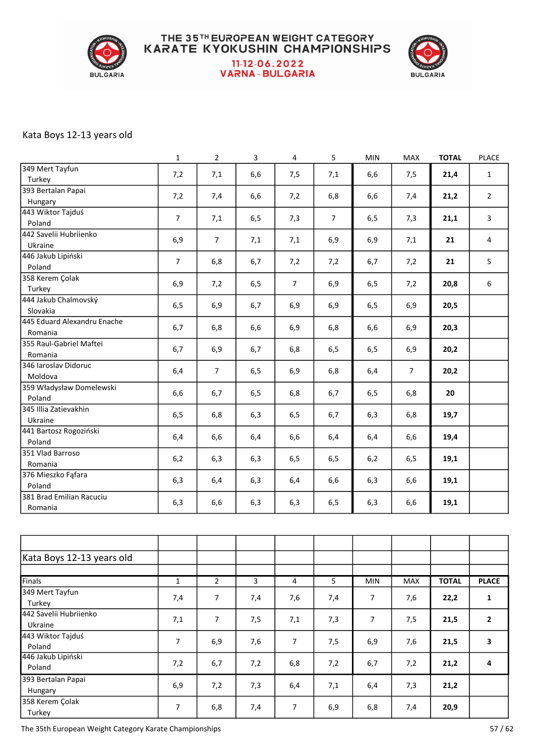

#### THE 35TH EUROPEAN WEIGHT CATEGORY **KARATE KYOKUSHIN CHAMPIONSHIPS** 11-12-06.2022 **VARNA-BULGARIA**



#### Kata Boys 12-13 years old

|                             | $\mathbf{1}$   | $\overline{2}$ | 3    | $\overline{4}$ | 5              | <b>MIN</b> | MAX            | <b>TOTAL</b> | <b>PLACE</b>   |
|-----------------------------|----------------|----------------|------|----------------|----------------|------------|----------------|--------------|----------------|
| 349 Mert Tayfun             | 7,2            | 7,1            | 6,6  | 7,5            | 7,1            | 6,6        | 7,5            | 21,4         | $\mathbf{1}$   |
| Turkey                      |                |                |      |                |                |            |                |              |                |
| 393 Bertalan Papai          | 7,2            | 7,4            | 6,6  | 7,2            | 6,8            | 6,6        | 7,4            | 21,2         | $\overline{2}$ |
| Hungary                     |                |                |      |                |                |            |                |              |                |
| 443 Wiktor Tajduś           | $\overline{7}$ | 7,1            | 6,5  | 7,3            | $\overline{7}$ | 6,5        | 7,3            | 21,1         | 3              |
| Poland                      |                |                |      |                |                |            |                |              |                |
| 442 Savelii Hubriienko      | 6,9            | $\overline{7}$ | 7,1  | 7,1            | 6,9            | 6,9        | 7,1            | 21           | 4              |
| Ukraine                     |                |                |      |                |                |            |                |              |                |
| 446 Jakub Lipiński          | $\overline{7}$ |                |      |                |                |            |                | 21           | 5              |
| Poland                      |                | 6,8            | 6,7  | 7,2            | 7,2            | 6,7        | 7,2            |              |                |
| 358 Kerem Çolak             |                |                |      |                |                |            |                |              |                |
| Turkey                      | 6,9            | 7,2            | 6, 5 | $\overline{7}$ | 6,9            | 6,5        | 7,2            | 20,8         | 6              |
| 444 Jakub Chalmovský        |                |                |      |                |                |            |                |              |                |
| Slovakia                    | 6, 5           | 6,9            | 6,7  | 6,9            | 6,9            | 6,5        | 6,9            | 20,5         |                |
| 445 Eduard Alexandru Enache |                |                |      |                |                |            |                |              |                |
| Romania                     | 6,7            | 6,8            | 6,6  | 6,9            | 6,8            | 6,6        | 6,9            | 20,3         |                |
| 355 Raul-Gabriel Maftei     |                |                |      |                |                |            |                |              |                |
| Romania                     | 6,7            | 6,9            | 6,7  | 6,8            | 6,5            | 6, 5       | 6,9            | 20,2         |                |
| 346 Iaroslav Didoruc        |                |                |      |                |                |            |                |              |                |
| Moldova                     | 6,4            | $\overline{7}$ | 6,5  | 6,9            | 6,8            | 6,4        | $\overline{7}$ | 20,2         |                |
| 359 Władysław Domelewski    |                |                |      |                |                |            |                |              |                |
| Poland                      | 6,6            | 6,7            | 6,5  | 6,8            | 6,7            | 6, 5       | 6,8            | 20           |                |
| 345 Illia Zatievakhin       |                |                |      |                |                |            |                |              |                |
| Ukraine                     | 6, 5           | 6,8            | 6,3  | 6,5            | 6,7            | 6,3        | 6,8            | 19,7         |                |
| 441 Bartosz Rogoziński      |                |                |      |                |                |            |                |              |                |
| Poland                      | 6,4            | 6,6            | 6,4  | 6,6            | 6,4            | 6,4        | 6,6            | 19,4         |                |
| 351 Vlad Barroso            |                |                |      |                |                |            |                |              |                |
|                             | 6,2            | 6,3            | 6,3  | 6,5            | 6,5            | 6,2        | 6,5            | 19,1         |                |
| Romania                     |                |                |      |                |                |            |                |              |                |
| 376 Mieszko Fąfara          | 6,3            | 6,4            | 6,3  | 6,4            | 6,6            | 6,3        | 6,6            | 19,1         |                |
| Poland                      |                |                |      |                |                |            |                |              |                |
| 381 Brad Emilian Racuciu    | 6,3            | 6,6            | 6,3  | 6,3            | 6,5            | 6,3        | 6,6            | 19,1         |                |
| Romania                     |                |                |      |                |                |            |                |              |                |

| Kata Boys 12-13 years old |              |                |     |                |     |                |            |              |                         |
|---------------------------|--------------|----------------|-----|----------------|-----|----------------|------------|--------------|-------------------------|
|                           |              |                |     |                |     |                |            |              |                         |
| Finals                    | $\mathbf{1}$ | $\overline{2}$ | 3   | 4              | 5   | <b>MIN</b>     | <b>MAX</b> | <b>TOTAL</b> | <b>PLACE</b>            |
| 349 Mert Tayfun           |              | 7              |     |                |     | 7              |            |              |                         |
| Turkey                    | 7,4          |                | 7,4 | 7,6            | 7,4 |                | 7,6        | 22,2         | 1                       |
| 442 Savelii Hubriienko    |              | $\overline{7}$ |     |                |     | $\overline{7}$ |            |              | $\overline{2}$          |
| Ukraine                   | 7,1          |                | 7,5 | 7,1            | 7,3 |                | 7,5        | 21,5         |                         |
| 443 Wiktor Tajduś         | 7            |                |     | 7              |     |                |            |              | $\overline{\mathbf{3}}$ |
| Poland                    |              | 6,9            | 7,6 |                | 7,5 | 6,9            | 7,6        | 21,5         |                         |
| 446 Jakub Lipiński        |              |                |     |                |     |                |            |              | $\overline{4}$          |
| Poland                    | 7,2          | 6,7            | 7,2 | 6,8            | 7,2 | 6,7            | 7,2        | 21,2         |                         |
| 393 Bertalan Papai        |              |                |     |                |     |                |            |              |                         |
| Hungary                   | 6,9          | 7,2            | 7,3 | 6,4            | 7,1 | 6,4            | 7,3        | 21,2         |                         |
| 358 Kerem Çolak           | 7            |                |     | $\overline{7}$ |     |                |            |              |                         |
| Turkey                    |              | 6,8            | 7,4 |                | 6,9 | 6,8            | 7,4        | 20,9         |                         |

The 35th European Weight Category Karate Championships 57 / 62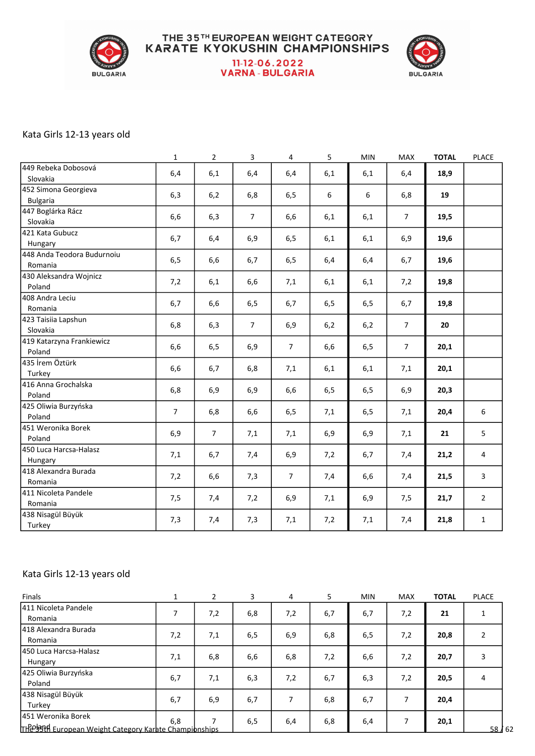

# **THE 35TH EUROPEAN WEIGHT CATEGORY<br>KARATE KYOKUSHIN CHAMPIONSHIPS** 11-12-06.2022<br>VARNA - BULGARIA



#### Kata Girls 12-13 years old

|                                         | $\mathbf{1}$   | $\overline{2}$ | $\mathbf{3}$   | $\overline{4}$ | 5    | <b>MIN</b> | <b>MAX</b>     | <b>TOTAL</b> | PLACE          |
|-----------------------------------------|----------------|----------------|----------------|----------------|------|------------|----------------|--------------|----------------|
| 449 Rebeka Dobosová<br>Slovakia         | 6,4            | 6,1            | 6,4            | 6,4            | 6,1  | 6,1        | 6,4            | 18,9         |                |
| 452 Simona Georgieva<br><b>Bulgaria</b> | 6,3            | 6,2            | 6,8            | 6,5            | 6    | 6          | 6,8            | 19           |                |
| 447 Boglárka Rácz<br>Slovakia           | 6,6            | 6,3            | $\overline{7}$ | 6,6            | 6,1  | 6,1        | $\overline{7}$ | 19,5         |                |
| 421 Kata Gubucz<br>Hungary              | 6,7            | 6,4            | 6,9            | 6,5            | 6,1  | 6,1        | 6,9            | 19,6         |                |
| 448 Anda Teodora Budurnoiu<br>Romania   | 6, 5           | 6,6            | 6,7            | 6,5            | 6,4  | 6,4        | 6,7            | 19,6         |                |
| 430 Aleksandra Wojnicz<br>Poland        | 7,2            | 6,1            | 6,6            | 7,1            | 6,1  | 6,1        | 7,2            | 19,8         |                |
| 408 Andra Leciu<br>Romania              | 6,7            | 6,6            | 6, 5           | 6,7            | 6, 5 | 6, 5       | 6,7            | 19,8         |                |
| 423 Taisiia Lapshun<br>Slovakia         | 6,8            | 6,3            | $\overline{7}$ | 6,9            | 6,2  | 6,2        | $\overline{7}$ | 20           |                |
| 419 Katarzyna Frankiewicz<br>Poland     | 6,6            | 6,5            | 6,9            | $\overline{7}$ | 6,6  | 6, 5       | $\overline{7}$ | 20,1         |                |
| 435 İrem Öztürk<br>Turkey               | 6,6            | 6,7            | 6,8            | 7,1            | 6,1  | 6,1        | 7,1            | 20,1         |                |
| 416 Anna Grochalska<br>Poland           | 6,8            | 6,9            | 6,9            | 6,6            | 6, 5 | 6, 5       | 6,9            | 20,3         |                |
| 425 Oliwia Burzyńska<br>Poland          | $\overline{7}$ | 6,8            | 6,6            | 6,5            | 7,1  | 6, 5       | 7,1            | 20,4         | 6              |
| 451 Weronika Borek<br>Poland            | 6,9            | $\overline{7}$ | 7,1            | 7,1            | 6,9  | 6,9        | 7,1            | 21           | 5              |
| 450 Luca Harcsa-Halasz<br>Hungary       | 7,1            | 6,7            | 7,4            | 6,9            | 7,2  | 6,7        | 7,4            | 21,2         | $\overline{4}$ |
| 418 Alexandra Burada<br>Romania         | 7,2            | 6,6            | 7,3            | $\overline{7}$ | 7,4  | 6,6        | 7,4            | 21,5         | 3              |
| 411 Nicoleta Pandele<br>Romania         | 7,5            | 7,4            | 7,2            | 6,9            | 7,1  | 6,9        | 7,5            | 21,7         | $\overline{2}$ |
| 438 Nisagül Büyük<br>Turkey             | 7,3            | 7,4            | 7,3            | 7,1            | 7,2  | 7,1        | 7,4            | 21,8         | $\mathbf 1$    |

#### Kata Girls 12-13 years old

| Finals                                                                        |     | 2   | 3   | 4   | 5   | <b>MIN</b> | <b>MAX</b> | <b>TOTAL</b> | <b>PLACE</b>   |
|-------------------------------------------------------------------------------|-----|-----|-----|-----|-----|------------|------------|--------------|----------------|
| 411 Nicoleta Pandele<br>Romania                                               | 7   | 7,2 | 6,8 | 7,2 | 6,7 | 6,7        | 7,2        | 21           | 1              |
| 1418 Alexandra Burada<br>Romania                                              | 7,2 | 7,1 | 6,5 | 6,9 | 6,8 | 6,5        | 7,2        | 20,8         | $\overline{2}$ |
| 1450 Luca Harcsa-Halasz<br>Hungary                                            | 7,1 | 6,8 | 6,6 | 6,8 | 7,2 | 6,6        | 7,2        | 20,7         | 3              |
| 425 Oliwia Burzyńska<br>Poland                                                | 6,7 | 7,1 | 6,3 | 7,2 | 6,7 | 6,3        | 7,2        | 20,5         | 4              |
| 438 Nisagül Büyük<br>Turkey                                                   | 6,7 | 6,9 | 6,7 | ⇁   | 6,8 | 6,7        | 7          | 20,4         |                |
| 1451 Weronika Borek<br>TH209314 European Weight Category Karate Championships | 6.8 | ⇁   | 6,5 | 6,4 | 6,8 | 6,4        |            | 20,1         | 58 / 62        |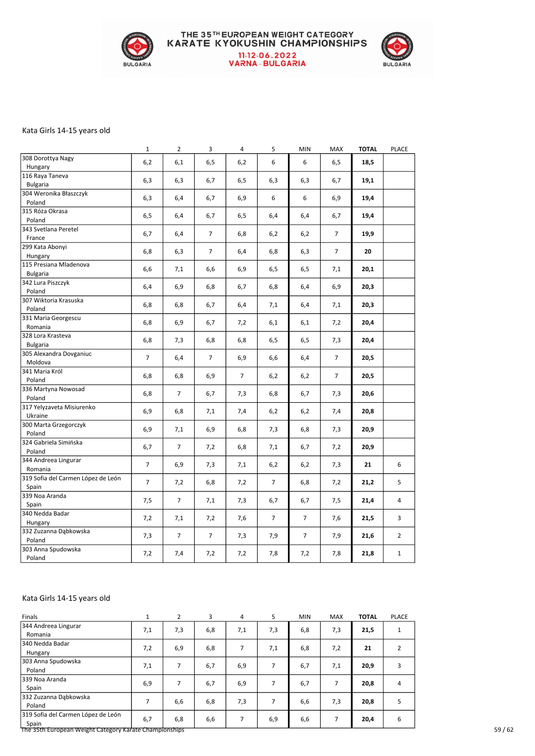

## THE 35TH EUROPEAN WEIGHT CATEGORY<br>KARATE KYOKUSHIN CHAMPIONSHIPS 11-12-06.2022<br>VARNA - BULGARIA



#### Kata Girls 14-15 years old

|                                    | $\mathbf{1}$   | $\overline{2}$ | 3              | 4              | 5              | <b>MIN</b>     | MAX            | <b>TOTAL</b> | <b>PLACE</b>   |
|------------------------------------|----------------|----------------|----------------|----------------|----------------|----------------|----------------|--------------|----------------|
| 308 Dorottya Nagy                  | 6,2            | 6,1            | 6,5            | 6,2            | 6              | 6              | 6,5            | 18,5         |                |
| Hungary                            |                |                |                |                |                |                |                |              |                |
| 116 Raya Taneva                    | 6,3            | 6,3            | 6,7            | 6,5            | 6,3            | 6,3            | 6,7            | 19,1         |                |
| <b>Bulgaria</b>                    |                |                |                |                |                |                |                |              |                |
| 304 Weronika Błaszczyk             | 6,3            | 6,4            | 6,7            | 6,9            | 6              | 6              | 6,9            | 19,4         |                |
| Poland                             |                |                |                |                |                |                |                |              |                |
| 315 Róża Okrasa                    | 6, 5           | 6,4            | 6,7            | 6,5            | 6,4            | 6,4            | 6,7            | 19,4         |                |
| Poland                             |                |                |                |                |                |                |                |              |                |
| 343 Svetlana Peretel               | 6,7            | 6,4            | $\overline{7}$ | 6,8            | 6,2            | 6,2            | $\overline{7}$ | 19,9         |                |
| France                             |                |                |                |                |                |                |                |              |                |
| 299 Kata Abonyi                    | 6,8            | 6,3            | $\overline{7}$ | 6,4            | 6,8            | 6,3            | $\overline{7}$ | 20           |                |
| Hungary                            |                |                |                |                |                |                |                |              |                |
| 115 Presiana Mladenova             | 6,6            | 7,1            | 6,6            | 6,9            | 6,5            | 6,5            | 7,1            | 20,1         |                |
| <b>Bulgaria</b>                    |                |                |                |                |                |                |                |              |                |
| 342 Lura Piszczyk                  | 6,4            | 6,9            | 6,8            | 6,7            | 6,8            | 6,4            | 6,9            | 20,3         |                |
| Poland                             |                |                |                |                |                |                |                |              |                |
| 307 Wiktoria Krasuska              | 6,8            | 6,8            | 6,7            | 6,4            | 7,1            | 6,4            | 7,1            | 20,3         |                |
| Poland                             |                |                |                |                |                |                |                |              |                |
| 331 Maria Georgescu                | 6,8            | 6,9            | 6,7            | 7,2            | 6,1            | 6,1            | 7,2            | 20,4         |                |
| Romania                            |                |                |                |                |                |                |                |              |                |
| 328 Lora Krasteva                  | 6,8            | 7,3            | 6,8            | 6,8            | 6,5            | 6,5            | 7,3            | 20,4         |                |
| <b>Bulgaria</b>                    |                |                |                |                |                |                |                |              |                |
| 305 Alexandra Dovganiuc            | $\overline{7}$ | 6,4            | $\overline{7}$ | 6,9            | 6,6            | 6,4            | $\overline{7}$ | 20,5         |                |
| Moldova                            |                |                |                |                |                |                |                |              |                |
| 341 Maria Król                     | 6,8            | 6,8            | 6,9            | $\overline{7}$ | 6,2            | 6,2            | $\overline{7}$ | 20,5         |                |
| Poland                             |                |                |                |                |                |                |                |              |                |
| 336 Martyna Nowosad                | 6,8            | $\overline{7}$ | 6,7            | 7,3            | 6,8            | 6,7            | 7,3            | 20,6         |                |
| Poland                             |                |                |                |                |                |                |                |              |                |
| 317 Yelyzaveta Misiurenko          | 6,9            | 6,8            | 7,1            | 7,4            | 6,2            | 6,2            | 7,4            | 20,8         |                |
| Ukraine                            |                |                |                |                |                |                |                |              |                |
| 300 Marta Grzegorczyk              | 6,9            | 7,1            | 6,9            | 6,8            | 7,3            | 6,8            | 7,3            | 20,9         |                |
| Poland                             |                |                |                |                |                |                |                |              |                |
| 324 Gabriela Simińska              | 6,7            | $\overline{7}$ | 7,2            | 6,8            | 7,1            | 6,7            | 7,2            | 20,9         |                |
| Poland                             |                |                |                |                |                |                |                |              |                |
| 344 Andreea Lingurar               | $\overline{7}$ | 6,9            | 7,3            | 7,1            | 6,2            | 6,2            | 7,3            | 21           | 6              |
| Romania                            |                |                |                |                |                |                |                |              |                |
| 319 Sofia del Carmen López de León | $\overline{7}$ | 7,2            | 6,8            | 7,2            | $\overline{7}$ | 6,8            | 7,2            | 21,2         | 5              |
| Spain                              |                |                |                |                |                |                |                |              |                |
| 339 Noa Aranda                     | 7,5            | $\overline{7}$ | 7,1            | 7,3            | 6,7            | 6,7            | 7,5            | 21,4         | 4              |
| Spain                              |                |                |                |                |                |                |                |              |                |
| 340 Nedda Badar                    |                |                |                |                | $\overline{7}$ | $\overline{7}$ |                |              | 3              |
| Hungary                            | 7,2            | 7,1            | 7,2            | 7,6            |                |                | 7,6            | 21,5         |                |
| 332 Zuzanna Dąbkowska              |                | $\overline{7}$ | $\overline{7}$ |                |                | $\overline{7}$ |                |              | $\overline{2}$ |
| Poland                             | 7,3            |                |                | 7,3            | 7,9            |                | 7,9            | 21,6         |                |
| 303 Anna Spudowska                 |                |                |                |                |                |                |                |              | $\mathbf{1}$   |
| Poland                             | 7,2            | 7,4            | 7,2            | 7,2            | 7,8            | 7,2            | 7,8            | 21,8         |                |

#### Kata Girls 14-15 years old

| Finals                                                 |     | 2   | 3   | 4   | 5   | <b>MIN</b> | <b>MAX</b> | <b>TOTAL</b> | <b>PLACE</b>   |
|--------------------------------------------------------|-----|-----|-----|-----|-----|------------|------------|--------------|----------------|
| 344 Andreea Lingurar<br>Romania                        | 7,1 | 7,3 | 6,8 | 7,1 | 7,3 | 6,8        | 7,3        | 21,5         | 1              |
| 340 Nedda Badar<br>Hungary                             | 7,2 | 6,9 | 6,8 | 7   | 7,1 | 6,8        | 7,2        | 21           | $\overline{2}$ |
| 303 Anna Spudowska<br>Poland                           | 7,1 | ⇁   | 6,7 | 6,9 | 7   | 6,7        | 7,1        | 20,9         | 3              |
| 339 Noa Aranda<br>Spain                                | 6,9 | ⇁   | 6,7 | 6,9 | ÷.  | 6,7        | 7          | 20,8         | 4              |
| 332 Zuzanna Dąbkowska<br>Poland                        |     | 6,6 | 6,8 | 7,3 | 7   | 6,6        | 7,3        | 20,8         | 5              |
| 319 Sofia del Carmen López de León<br>Spain            | 6,7 | 6,8 | 6,6 | 7   | 6,9 | 6,6        | 7          | 20,4         | 6              |
| The 35th European Weight Category Karate Championships |     |     |     |     |     |            |            |              |                |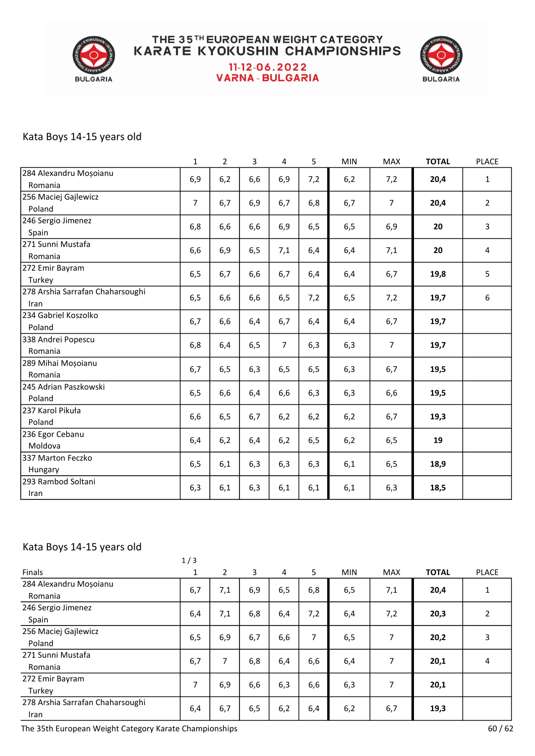

## **THE 35TH EUROPEAN WEIGHT CATEGORY<br>KARATE KYOKUSHIN CHAMPIONSHIPS** 11-12-06.2022 **VARNA - BULGARIA**



#### Kata Boys 14-15 years old

|                                  | 1              | $\overline{2}$ | 3    | 4              | 5    | <b>MIN</b> | <b>MAX</b>     | <b>TOTAL</b> | <b>PLACE</b>   |
|----------------------------------|----------------|----------------|------|----------------|------|------------|----------------|--------------|----------------|
| 284 Alexandru Moșoianu           | 6,9            | 6,2            | 6,6  | 6,9            | 7,2  | 6,2        | 7,2            | 20,4         | 1              |
| Romania                          |                |                |      |                |      |            |                |              |                |
| 256 Maciej Gajlewicz             | $\overline{7}$ | 6,7            | 6,9  | 6,7            | 6,8  | 6,7        | $\overline{7}$ | 20,4         | $\overline{2}$ |
| Poland                           |                |                |      |                |      |            |                |              |                |
| 246 Sergio Jimenez               | 6,8            | 6,6            | 6,6  | 6,9            | 6, 5 | 6,5        | 6,9            | 20           | 3              |
| Spain                            |                |                |      |                |      |            |                |              |                |
| 271 Sunni Mustafa                | 6,6            | 6,9            | 6,5  | 7,1            | 6,4  | 6,4        | 7,1            | 20           | 4              |
| Romania                          |                |                |      |                |      |            |                |              |                |
| 272 Emir Bayram                  | 6,5            | 6,7            | 6,6  | 6,7            | 6,4  | 6,4        | 6,7            | 19,8         | 5              |
| Turkey                           |                |                |      |                |      |            |                |              |                |
| 278 Arshia Sarrafan Chaharsoughi | 6,5            | 6,6            | 6,6  | 6, 5           | 7,2  | 6, 5       | 7,2            | 19,7         | 6              |
| Iran                             |                |                |      |                |      |            |                |              |                |
| 234 Gabriel Koszolko             | 6,7            | 6,6            | 6,4  | 6,7            | 6,4  | 6,4        | 6,7            | 19,7         |                |
| Poland                           |                |                |      |                |      |            |                |              |                |
| 338 Andrei Popescu               | 6,8            | 6,4            | 6, 5 | $\overline{7}$ | 6,3  | 6,3        | $\overline{7}$ | 19,7         |                |
| Romania                          |                |                |      |                |      |            |                |              |                |
| 289 Mihai Moșoianu               | 6,7            | 6, 5           | 6,3  | 6, 5           | 6,5  | 6,3        | 6,7            | 19,5         |                |
| Romania                          |                |                |      |                |      |            |                |              |                |
| 245 Adrian Paszkowski            | 6,5            | 6,6            | 6,4  | 6,6            | 6,3  | 6,3        | 6,6            | 19,5         |                |
| Poland                           |                |                |      |                |      |            |                |              |                |
| 237 Karol Pikuła                 | 6,6            | 6, 5           | 6,7  | 6,2            | 6,2  | 6,2        | 6,7            | 19,3         |                |
| Poland                           |                |                |      |                |      |            |                |              |                |
| 236 Egor Cebanu                  | 6,4            | 6,2            | 6,4  | 6,2            | 6,5  | 6,2        | 6,5            | 19           |                |
| Moldova                          |                |                |      |                |      |            |                |              |                |
| 337 Marton Feczko                | 6, 5           | 6,1            | 6,3  | 6,3            | 6,3  | 6,1        | 6, 5           | 18,9         |                |
| Hungary                          |                |                |      |                |      |            |                |              |                |
| 293 Rambod Soltani               | 6,3            | 6,1            | 6,3  | 6,1            | 6,1  | 6,1        | 6,3            | 18,5         |                |
| Iran                             |                |                |      |                |      |            |                |              |                |

#### Kata Boys 14-15 years old

|                                  | 1/3          |                |     |     |     |            |                |              |              |
|----------------------------------|--------------|----------------|-----|-----|-----|------------|----------------|--------------|--------------|
| <b>Finals</b>                    | $\mathbf{1}$ | $\overline{2}$ | 3   | 4   | 5   | <b>MIN</b> | <b>MAX</b>     | <b>TOTAL</b> | <b>PLACE</b> |
| 284 Alexandru Moșoianu           | 6,7          | 7,1            | 6,9 | 6,5 | 6,8 | 6,5        | 7,1            | 20,4         |              |
| Romania                          |              |                |     |     |     |            |                |              |              |
| 246 Sergio Jimenez               | 6,4          | 7,1            | 6,8 | 6,4 | 7,2 | 6,4        | 7,2            | 20,3         | 2            |
| Spain                            |              |                |     |     |     |            |                |              |              |
| 256 Maciej Gajlewicz             | 6,5          | 6,9            | 6,7 |     | 7   |            | 7              | 20,2         | 3            |
| Poland                           |              |                |     | 6,6 |     | 6,5        |                |              |              |
| 271 Sunni Mustafa                | 6,7          | 7              | 6,8 |     | 6,6 | 6,4        | $\overline{7}$ |              | 4            |
| Romania                          |              |                |     | 6,4 |     |            |                | 20,1         |              |
| 272 Emir Bayram                  | 7            |                |     |     |     |            | 7              |              |              |
| Turkey                           |              | 6,9            | 6,6 | 6,3 | 6,6 | 6,3        |                | 20,1         |              |
| 278 Arshia Sarrafan Chaharsoughi |              |                |     |     |     |            |                |              |              |
| Iran                             | 6,4          | 6,7            | 6,5 | 6,2 | 6,4 | 6,2        | 6,7            | 19,3         |              |

The 35th European Weight Category Karate Championships 60 / 62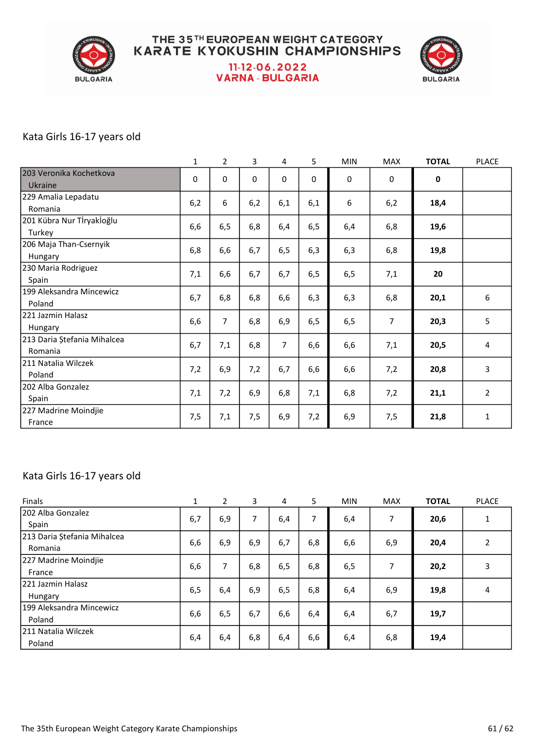

## **THE 35TH EUROPEAN WEIGHT CATEGORY<br>KARATE KYOKUSHIN CHAMPIONSHIPS** 11-12-06.2022 **VARNA - BULGARIA**



#### Kata Girls 16-17 years old

|                             | 1   | $\overline{2}$ | 3           | 4           | 5    | <b>MIN</b> | <b>MAX</b>     | <b>TOTAL</b> | <b>PLACE</b>   |
|-----------------------------|-----|----------------|-------------|-------------|------|------------|----------------|--------------|----------------|
| 203 Veronika Kochetkova     | 0   | $\Omega$       | $\mathbf 0$ | $\mathbf 0$ | 0    | 0          | 0              | 0            |                |
| Ukraine                     |     |                |             |             |      |            |                |              |                |
| 229 Amalia Lepadatu         | 6,2 | 6              | 6,2         | 6,1         | 6,1  | 6          | 6,2            | 18,4         |                |
| Romania                     |     |                |             |             |      |            |                |              |                |
| 201 Kübra Nur Tİryakİoğlu   | 6,6 | 6, 5           | 6,8         | 6,4         | 6, 5 | 6,4        | 6,8            | 19,6         |                |
| Turkey                      |     |                |             |             |      |            |                |              |                |
| 206 Maja Than-Csernyik      | 6,8 | 6,6            | 6,7         | 6, 5        | 6,3  | 6,3        | 6,8            | 19,8         |                |
| Hungary                     |     |                |             |             |      |            |                |              |                |
| 230 Maria Rodriguez         | 7,1 | 6,6            | 6,7         | 6,7         | 6,5  | 6,5        | 7,1            | 20           |                |
| Spain                       |     |                |             |             |      |            |                |              |                |
| 199 Aleksandra Mincewicz    | 6,7 | 6,8            | 6,8         | 6,6         | 6,3  | 6,3        | 6,8            | 20,1         | 6              |
| Poland                      |     |                |             |             |      |            |                |              |                |
| 221 Jazmin Halasz           | 6,6 | $\overline{7}$ | 6,8         | 6,9         | 6,5  | 6,5        | $\overline{7}$ | 20,3         | 5              |
| Hungary                     |     |                |             |             |      |            |                |              |                |
| 213 Daria Ștefania Mihalcea | 6,7 | 7,1            | 6,8         | 7           | 6,6  | 6,6        | 7,1            | 20,5         | $\overline{4}$ |
| Romania                     |     |                |             |             |      |            |                |              |                |
| 211 Natalia Wilczek         | 7,2 | 6,9            | 7,2         | 6,7         | 6,6  | 6,6        | 7,2            | 20,8         | 3              |
| Poland                      |     |                |             |             |      |            |                |              |                |
| 202 Alba Gonzalez           | 7,1 | 7,2            | 6,9         | 6,8         | 7,1  | 6,8        | 7,2            | 21,1         | $\overline{2}$ |
| Spain                       |     |                |             |             |      |            |                |              |                |
| 227 Madrine Moindjie        | 7,5 | 7,1            | 7,5         | 6,9         | 7,2  | 6,9        | 7,5            | 21,8         | 1              |
| France                      |     |                |             |             |      |            |                |              |                |

#### Kata Girls 16-17 years old

| <b>Finals</b>               | 1   | $\overline{2}$ | 3   | 4   | 5   | <b>MIN</b> | <b>MAX</b> | <b>TOTAL</b> | <b>PLACE</b>   |
|-----------------------------|-----|----------------|-----|-----|-----|------------|------------|--------------|----------------|
| 202 Alba Gonzalez           | 6,7 | 6,9            | 7   | 6,4 | 7   | 6,4        | 7          | 20,6         | $\mathbf{1}$   |
| Spain                       |     |                |     |     |     |            |            |              |                |
| 213 Daria Ștefania Mihalcea |     |                |     |     |     |            |            |              | $\overline{2}$ |
| Romania                     | 6,6 | 6,9            | 6,9 | 6,7 | 6,8 | 6,6        | 6,9        | 20,4         |                |
| 227 Madrine Moindjie        |     | 7              | 6,8 | 6,5 | 6,8 | 6,5        | 7          | 20,2         | 3              |
| France                      | 6,6 |                |     |     |     |            |            |              |                |
| 1221 Jazmin Halasz          |     |                |     |     |     |            |            |              | 4              |
| Hungary                     | 6,5 | 6,4            | 6,9 | 6,5 | 6,8 | 6,4        | 6,9        | 19,8         |                |
| 199 Aleksandra Mincewicz    |     |                |     |     |     |            |            |              |                |
| Poland                      | 6,6 | 6,5            | 6,7 | 6,6 | 6,4 | 6,4        | 6,7        | 19,7         |                |
| 1211 Natalia Wilczek        |     |                |     |     |     |            |            |              |                |
| Poland                      | 6,4 | 6,4            | 6,8 | 6,4 | 6,6 | 6,4        | 6,8        | 19,4         |                |